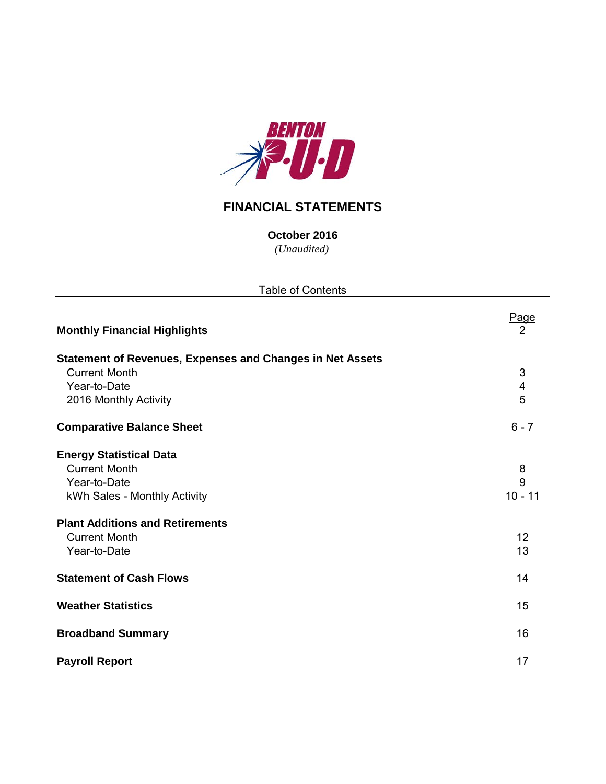

# **FINANCIAL STATEMENTS**

*(Unaudited)* **October 2016**

| <b>Table of Contents</b>                                         |                               |  |  |  |  |  |  |  |  |
|------------------------------------------------------------------|-------------------------------|--|--|--|--|--|--|--|--|
| <b>Monthly Financial Highlights</b>                              | <u>Page</u><br>$\overline{2}$ |  |  |  |  |  |  |  |  |
| <b>Statement of Revenues, Expenses and Changes in Net Assets</b> |                               |  |  |  |  |  |  |  |  |
| <b>Current Month</b>                                             | 3                             |  |  |  |  |  |  |  |  |
| Year-to-Date                                                     | $\overline{4}$                |  |  |  |  |  |  |  |  |
| 2016 Monthly Activity                                            | 5                             |  |  |  |  |  |  |  |  |
| <b>Comparative Balance Sheet</b>                                 | $6 - 7$                       |  |  |  |  |  |  |  |  |
| <b>Energy Statistical Data</b>                                   |                               |  |  |  |  |  |  |  |  |
| <b>Current Month</b>                                             | 8                             |  |  |  |  |  |  |  |  |
| Year-to-Date                                                     | 9                             |  |  |  |  |  |  |  |  |
| kWh Sales - Monthly Activity                                     | $10 - 11$                     |  |  |  |  |  |  |  |  |
| <b>Plant Additions and Retirements</b>                           |                               |  |  |  |  |  |  |  |  |
| <b>Current Month</b>                                             | 12                            |  |  |  |  |  |  |  |  |
| Year-to-Date                                                     | 13                            |  |  |  |  |  |  |  |  |
| <b>Statement of Cash Flows</b>                                   | 14                            |  |  |  |  |  |  |  |  |
| <b>Weather Statistics</b>                                        | 15                            |  |  |  |  |  |  |  |  |
| <b>Broadband Summary</b>                                         | 16                            |  |  |  |  |  |  |  |  |
| <b>Payroll Report</b>                                            | 17                            |  |  |  |  |  |  |  |  |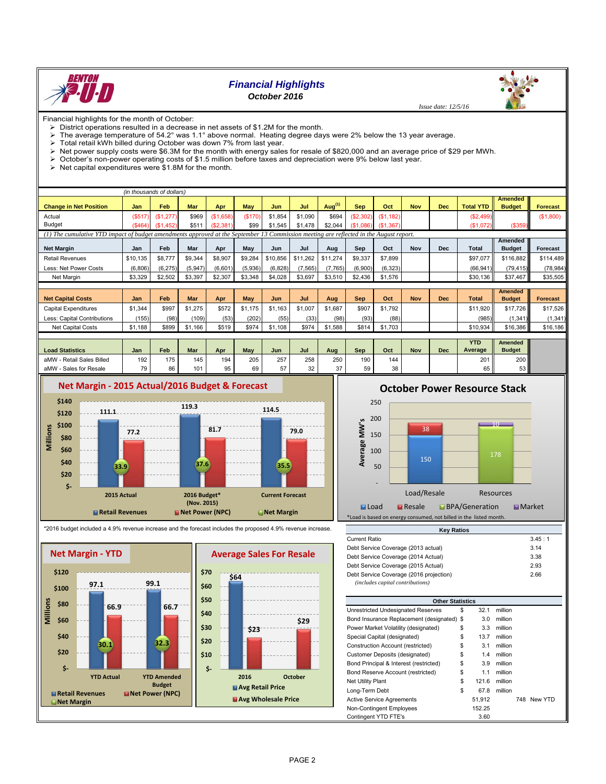

# *Financial Highlights*

# *October 2016*

Financial highlights for the month of October:<br> $\triangleright$  District operations resulted in a decrease

- District operations resulted in a decrease in net assets of \$1.2M for the month.<br>
In a system temperature of 54.2° was 1.1° above normal. Heating degree day
- The average temperature of 54.2° was 1.1° above normal. Heating degree days were 2% below the 13 year average.<br>> Total retail kWh billed during October was down 7% from last year.
- $\geq$  Total retail kWh billed during October was down 7% from last year.<br> $\geq$  Net nower supply costs were \$6.3M for the month with energy sale.
- Net power supply costs were \$6.3M for the month with energy sales for resale of \$820,000 and an average price of \$29 per MWh.
- October's non-power operating costs of \$1.5 million before taxes and depreciation were 9% below last year.
- $\triangleright$  Net capital expenditures were \$1.8M for the month.

|                                                                                                                                          |          | (in thousands of dollars)   |         |           |         |            |          |                    |            |           |            |            |                  |                |                 |
|------------------------------------------------------------------------------------------------------------------------------------------|----------|-----------------------------|---------|-----------|---------|------------|----------|--------------------|------------|-----------|------------|------------|------------------|----------------|-----------------|
|                                                                                                                                          |          |                             |         |           |         |            |          |                    |            |           |            |            |                  | <b>Amended</b> |                 |
| <b>Change in Net Position</b>                                                                                                            | Jan      | Feb                         | Mar     | Apr       | May     | Jun        | Jul      | Aug <sup>(1)</sup> | <b>Sep</b> | Oct       | <b>Nov</b> | Dec        | <b>Total YTD</b> | <b>Budget</b>  | <b>Forecast</b> |
| Actual                                                                                                                                   | (S517)   | (S1.277)                    | \$969   | (\$1,658) | (\$170) | \$1.854    | \$1.090  | \$694              | (\$2,302)  | (\$1,182) |            |            | (\$2,499)        |                | (\$1,800)       |
| <b>Budget</b>                                                                                                                            | (\$464)  | (S <sub>1</sub> )<br>(.452) | \$511   | (\$2,381) | \$99    | \$1,545    | \$1,478  | \$2,044            | (S1,086)   | (\$1,367) |            |            | (\$1,072)        | (\$359)        |                 |
| $(1)$ The cumulative YTD impact of budget amendments approved at the September 13 Commission meeting are reflected in the August report. |          |                             |         |           |         |            |          |                    |            |           |            |            |                  |                |                 |
| Amended                                                                                                                                  |          |                             |         |           |         |            |          |                    |            |           |            |            |                  |                |                 |
| <b>Net Margin</b>                                                                                                                        | Jan      | Feb                         | Mar     | Apr       | May     | Jun        | Jul      | Aug                | Sep        | Oct       | <b>Nov</b> | <b>Dec</b> | <b>Total</b>     | <b>Budget</b>  | <b>Forecast</b> |
| <b>Retail Revenues</b>                                                                                                                   | \$10,135 | \$8,777                     | \$9,344 | \$8,907   | \$9,284 | \$10,856   | \$11,262 | \$11,274           | \$9,337    | \$7,899   |            |            | \$97,077         | \$116,882      | \$114,489       |
| Less: Net Power Costs                                                                                                                    | (6,806)  | (6, 275)                    | (5,947) | (6,601)   | (5,936) | (6, 828)   | (7, 565) | (7, 765)           | (6,900)    | (6, 323)  |            |            | (66, 941)        | (79, 415)      | (78, 984)       |
| Net Margin                                                                                                                               | \$3,329  | \$2,502                     | \$3,397 | \$2,307   | \$3,348 | \$4,028    | \$3,697  | \$3,510            | \$2,436    | \$1,576   |            |            | \$30,136         | \$37.467       | \$35,505        |
|                                                                                                                                          |          |                             |         |           |         |            |          |                    |            |           |            |            |                  |                |                 |
|                                                                                                                                          |          |                             |         |           |         |            |          |                    |            |           |            |            |                  | <b>Amended</b> |                 |
| <b>Net Capital Costs</b>                                                                                                                 | Jan      | Feb                         | Mar     | Apr       | May     | <b>Jun</b> | Jul      | Aug                | <b>Sep</b> | Oct       | <b>Nov</b> | <b>Dec</b> | <b>Total</b>     | <b>Budget</b>  | <b>Forecast</b> |
| <b>Capital Expenditures</b>                                                                                                              | \$1,344  | \$997                       | \$1,275 | \$572     | \$1,175 | \$1,163    | \$1,007  | \$1,687            | \$907      | \$1,792   |            |            | \$11,920         | \$17,726       | \$17,526        |
| Less: Capital Contributions                                                                                                              | (155)    | (98)                        | (109)   | (53)      | (202)   | (55)       | (33)     | (98)               | (93)       | (88)      |            |            | (985)            | (1, 341)       | (1, 341)        |
| <b>Net Capital Costs</b>                                                                                                                 | \$1,188  | \$899                       | \$1,166 | \$519     | \$974   | \$1,108    | \$974    | \$1,588            | \$814      | \$1,703   |            |            | \$10,934         | \$16,386       | \$16,186        |
|                                                                                                                                          |          |                             |         |           |         |            |          |                    |            |           |            |            |                  |                |                 |
|                                                                                                                                          |          |                             |         |           |         |            |          |                    |            |           |            |            | <b>YTD</b>       | <b>Amended</b> |                 |
| <b>Load Statistics</b>                                                                                                                   | Jan      | Feb                         | Mar     | Apr       | May     | Jun        | Jul      | Aug                | Sep        | Oct       | <b>Nov</b> | <b>Dec</b> | Average          | <b>Budget</b>  |                 |
| aMW - Retail Sales Billed                                                                                                                | 192      | 175                         | 145     | 194       | 205     | 257        | 258      | 250                | 190        | 144       |            |            | 201              | 200            |                 |
| aMW - Sales for Resale                                                                                                                   | 79       | 86                          | 101     | 95        | 69      | 57         | 32       | 37                 | 59         | 38        |            |            | 65               | 53             |                 |



# **October Power Resource Stack**





| <b>Key Ratios</b>                       |        |
|-----------------------------------------|--------|
| Current Ratio                           | 3.45:1 |
| Debt Service Coverage (2013 actual)     | 3.14   |
| Debt Service Coverage (2014 Actual)     | 3.38   |
| Debt Service Coverage (2015 Actual)     | 2.93   |
| Debt Service Coverage (2016 projection) | 2.66   |
| (includes capital contributions)        |        |

| <b>Other Statistics</b>                    |             |         |             |
|--------------------------------------------|-------------|---------|-------------|
| Unrestricted Undesignated Reserves         | \$<br>32.1  | million |             |
| Bond Insurance Replacement (designated) \$ | 3.0         | million |             |
| Power Market Volatility (designated)       | \$<br>3.3   | million |             |
| Special Capital (designated)               | \$<br>13.7  | million |             |
| Construction Account (restricted)          | \$<br>3.1   | million |             |
| Customer Deposits (designated)             | \$<br>1.4   | million |             |
| Bond Principal & Interest (restricted)     | \$<br>3.9   | million |             |
| Bond Reserve Account (restricted)          | \$<br>1.1   | million |             |
| Net Utility Plant                          | \$<br>121.6 | million |             |
| Long-Term Debt                             | \$<br>67.8  | million |             |
| <b>Active Service Agreements</b>           | 51.912      |         | 748 New YTD |
| Non-Contingent Employees                   | 152.25      |         |             |
| Contingent YTD FTE's                       | 3.60        |         |             |

 *Issue date: 12/5/16*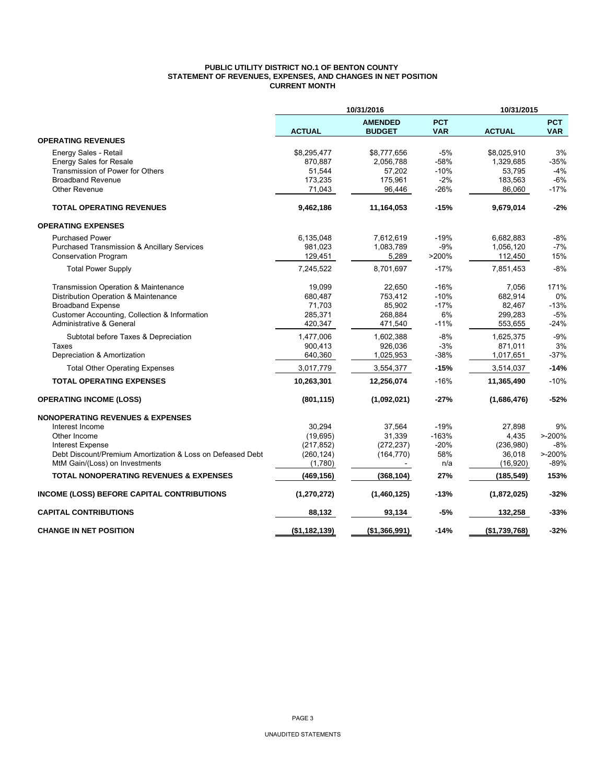#### **PUBLIC UTILITY DISTRICT NO.1 OF BENTON COUNTY STATEMENT OF REVENUES, EXPENSES, AND CHANGES IN NET POSITION CURRENT MONTH**

|                                                            |               | 10/31/2016<br>10/31/2015        |                          |               |                          |
|------------------------------------------------------------|---------------|---------------------------------|--------------------------|---------------|--------------------------|
|                                                            | <b>ACTUAL</b> | <b>AMENDED</b><br><b>BUDGET</b> | <b>PCT</b><br><b>VAR</b> | <b>ACTUAL</b> | <b>PCT</b><br><b>VAR</b> |
| <b>OPERATING REVENUES</b>                                  |               |                                 |                          |               |                          |
| Energy Sales - Retail                                      | \$8,295,477   | \$8,777,656                     | $-5%$                    | \$8,025,910   | 3%                       |
| <b>Energy Sales for Resale</b>                             | 870,887       | 2,056,788                       | $-58%$                   | 1,329,685     | $-35%$                   |
| Transmission of Power for Others                           | 51,544        | 57,202                          | $-10%$                   | 53,795        | $-4%$                    |
| <b>Broadband Revenue</b>                                   | 173,235       | 175,961                         | $-2%$                    | 183,563       | $-6%$                    |
| <b>Other Revenue</b>                                       | 71,043        | 96,446                          | $-26%$                   | 86,060        | $-17%$                   |
| <b>TOTAL OPERATING REVENUES</b>                            | 9,462,186     | 11,164,053                      | $-15%$                   | 9,679,014     | $-2%$                    |
| <b>OPERATING EXPENSES</b>                                  |               |                                 |                          |               |                          |
| <b>Purchased Power</b>                                     | 6,135,048     | 7,612,619                       | $-19%$                   | 6,682,883     | $-8%$                    |
| Purchased Transmission & Ancillary Services                | 981,023       | 1,083,789                       | $-9%$                    | 1,056,120     | $-7%$                    |
| <b>Conservation Program</b>                                | 129,451       | 5,289                           | >200%                    | 112,450       | 15%                      |
| <b>Total Power Supply</b>                                  | 7,245,522     | 8,701,697                       | $-17%$                   | 7,851,453     | $-8%$                    |
| Transmission Operation & Maintenance                       | 19,099        | 22,650                          | $-16%$                   | 7,056         | 171%                     |
| Distribution Operation & Maintenance                       | 680,487       | 753,412                         | $-10%$                   | 682,914       | 0%                       |
| <b>Broadband Expense</b>                                   | 71,703        | 85,902                          | $-17%$                   | 82,467        | $-13%$                   |
| Customer Accounting, Collection & Information              | 285,371       | 268,884                         | 6%                       | 299,283       | $-5%$                    |
| Administrative & General                                   | 420,347       | 471,540                         | $-11%$                   | 553,655       | $-24%$                   |
| Subtotal before Taxes & Depreciation                       | 1,477,006     | 1,602,388                       | $-8%$                    | 1,625,375     | $-9%$                    |
| Taxes                                                      | 900,413       | 926,036                         | $-3%$                    | 871,011       | 3%                       |
| Depreciation & Amortization                                | 640,360       | 1,025,953                       | $-38%$                   | 1,017,651     | $-37%$                   |
| <b>Total Other Operating Expenses</b>                      | 3,017,779     | 3,554,377                       | $-15%$                   | 3,514,037     | $-14%$                   |
| <b>TOTAL OPERATING EXPENSES</b>                            | 10,263,301    | 12,256,074                      | $-16%$                   | 11,365,490    | $-10%$                   |
| <b>OPERATING INCOME (LOSS)</b>                             | (801, 115)    | (1,092,021)                     | -27%                     | (1,686,476)   | $-52%$                   |
| <b>NONOPERATING REVENUES &amp; EXPENSES</b>                |               |                                 |                          |               |                          |
| Interest Income                                            | 30.294        | 37,564                          | $-19%$                   | 27,898        | 9%                       |
| Other Income                                               | (19, 695)     | 31,339                          | $-163%$                  | 4,435         | $> -200%$                |
| <b>Interest Expense</b>                                    | (217, 852)    | (272, 237)                      | $-20%$                   | (236,980)     | $-8%$                    |
| Debt Discount/Premium Amortization & Loss on Defeased Debt | (260, 124)    | (164, 770)                      | 58%                      | 36,018        | $> -200%$                |
| MtM Gain/(Loss) on Investments                             | (1,780)       |                                 | n/a                      | (16, 920)     | $-89%$                   |
| <b>TOTAL NONOPERATING REVENUES &amp; EXPENSES</b>          | (469, 156)    | (368, 104)                      | 27%                      | (185, 549)    | 153%                     |
| <b>INCOME (LOSS) BEFORE CAPITAL CONTRIBUTIONS</b>          | (1, 270, 272) | (1,460,125)                     | $-13%$                   | (1,872,025)   | -32%                     |
| <b>CAPITAL CONTRIBUTIONS</b>                               | 88,132        | 93,134                          | $-5%$                    | 132,258       | $-33%$                   |
| <b>CHANGE IN NET POSITION</b>                              | (\$1,182,139) | (\$1,366,991)                   | $-14%$                   | (\$1,739,768) | $-32%$                   |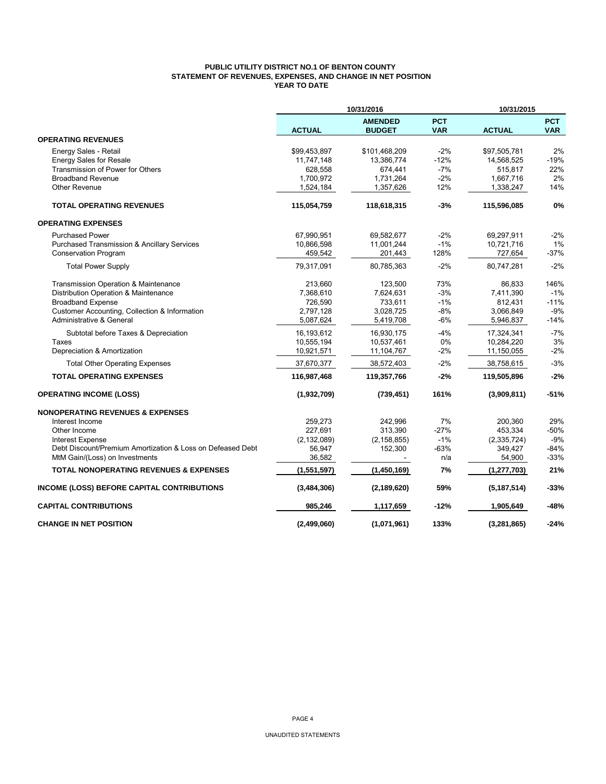### **PUBLIC UTILITY DISTRICT NO.1 OF BENTON COUNTY STATEMENT OF REVENUES, EXPENSES, AND CHANGE IN NET POSITION YEAR TO DATE**

|                                                            |               | 10/31/2016                      |                          | 10/31/2015    |                          |
|------------------------------------------------------------|---------------|---------------------------------|--------------------------|---------------|--------------------------|
|                                                            | <b>ACTUAL</b> | <b>AMENDED</b><br><b>BUDGET</b> | <b>PCT</b><br><b>VAR</b> | <b>ACTUAL</b> | <b>PCT</b><br><b>VAR</b> |
| <b>OPERATING REVENUES</b>                                  |               |                                 |                          |               |                          |
| Energy Sales - Retail                                      | \$99,453,897  | \$101,468,209                   | $-2%$                    | \$97,505,781  | 2%                       |
| <b>Energy Sales for Resale</b>                             | 11,747,148    | 13,386,774                      | $-12%$                   | 14,568,525    | $-19%$                   |
| Transmission of Power for Others                           | 628,558       | 674,441                         | $-7%$                    | 515,817       | 22%                      |
| <b>Broadband Revenue</b>                                   | 1,700,972     | 1,731,264                       | $-2%$                    | 1,667,716     | 2%                       |
| <b>Other Revenue</b>                                       | 1,524,184     | 1,357,626                       | 12%                      | 1,338,247     | 14%                      |
| <b>TOTAL OPERATING REVENUES</b>                            | 115,054,759   | 118,618,315                     | -3%                      | 115,596,085   | 0%                       |
| <b>OPERATING EXPENSES</b>                                  |               |                                 |                          |               |                          |
| <b>Purchased Power</b>                                     | 67,990,951    | 69,582,677                      | $-2%$                    | 69,297,911    | $-2%$                    |
| Purchased Transmission & Ancillary Services                | 10,866,598    | 11,001,244                      | $-1%$                    | 10,721,716    | 1%                       |
| <b>Conservation Program</b>                                | 459,542       | 201,443                         | 128%                     | 727,654       | $-37%$                   |
| <b>Total Power Supply</b>                                  | 79,317,091    | 80,785,363                      | $-2%$                    | 80,747,281    | $-2%$                    |
| Transmission Operation & Maintenance                       | 213,660       | 123,500                         | 73%                      | 86,833        | 146%                     |
| Distribution Operation & Maintenance                       | 7,368,610     | 7,624,631                       | $-3%$                    | 7,411,390     | $-1%$                    |
| <b>Broadband Expense</b>                                   | 726,590       | 733,611                         | $-1%$                    | 812,431       | $-11%$                   |
| Customer Accounting, Collection & Information              | 2,797,128     | 3,028,725                       | $-8%$                    | 3,066,849     | $-9%$                    |
| Administrative & General                                   | 5,087,624     | 5,419,708                       | $-6%$                    | 5,946,837     | $-14%$                   |
| Subtotal before Taxes & Depreciation                       | 16,193,612    | 16,930,175                      | $-4%$                    | 17,324,341    | $-7%$                    |
| Taxes                                                      | 10,555,194    | 10,537,461                      | 0%                       | 10,284,220    | 3%                       |
| Depreciation & Amortization                                | 10,921,571    | 11,104,767                      | $-2%$                    | 11,150,055    | $-2%$                    |
| <b>Total Other Operating Expenses</b>                      | 37,670,377    | 38,572,403                      | $-2%$                    | 38,758,615    | $-3%$                    |
| <b>TOTAL OPERATING EXPENSES</b>                            | 116,987,468   | 119,357,766                     | -2%                      | 119,505,896   | $-2%$                    |
| <b>OPERATING INCOME (LOSS)</b>                             | (1,932,709)   | (739, 451)                      | 161%                     | (3,909,811)   | $-51%$                   |
| <b>NONOPERATING REVENUES &amp; EXPENSES</b>                |               |                                 |                          |               |                          |
| Interest Income                                            | 259,273       | 242,996                         | 7%                       | 200,360       | 29%                      |
| Other Income                                               | 227,691       | 313.390                         | $-27%$                   | 453,334       | $-50%$                   |
| Interest Expense                                           | (2, 132, 089) | (2, 158, 855)                   | $-1%$                    | (2, 335, 724) | $-9%$                    |
| Debt Discount/Premium Amortization & Loss on Defeased Debt | 56,947        | 152,300                         | $-63%$                   | 349,427       | $-84%$                   |
| MtM Gain/(Loss) on Investments                             | 36,582        |                                 | n/a                      | 54,900        | $-33%$                   |
| <b>TOTAL NONOPERATING REVENUES &amp; EXPENSES</b>          | (1,551,597)   | (1,450,169)                     | 7%                       | (1, 277, 703) | 21%                      |
| INCOME (LOSS) BEFORE CAPITAL CONTRIBUTIONS                 | (3,484,306)   | (2, 189, 620)                   | 59%                      | (5, 187, 514) | $-33%$                   |
| <b>CAPITAL CONTRIBUTIONS</b>                               | 985,246       | 1,117,659                       | -12%                     | 1,905,649     | -48%                     |
| <b>CHANGE IN NET POSITION</b>                              | (2,499,060)   | (1,071,961)                     | 133%                     | (3,281,865)   | $-24%$                   |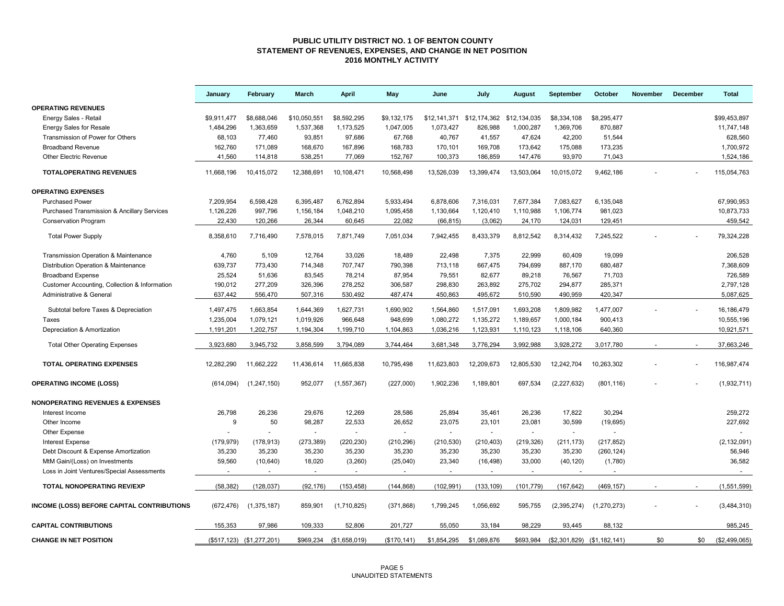#### **PUBLIC UTILITY DISTRICT NO. 1 OF BENTON COUNTY STATEMENT OF REVENUES, EXPENSES, AND CHANGE IN NET POSITION 2016 MONTHLY ACTIVITY**

|                                                        | January     | February                  | March        | <b>April</b>            | May          | June        | July                                   | August     | September     | October                     | November | December | <b>Total</b>  |
|--------------------------------------------------------|-------------|---------------------------|--------------|-------------------------|--------------|-------------|----------------------------------------|------------|---------------|-----------------------------|----------|----------|---------------|
| <b>OPERATING REVENUES</b>                              |             |                           |              |                         |              |             |                                        |            |               |                             |          |          |               |
| Energy Sales - Retail                                  | \$9,911,477 | \$8,688,046               | \$10,050,551 | \$8,592,295             | \$9,132,175  |             | \$12,141,371 \$12,174,362 \$12,134,035 |            | \$8,334,108   | \$8,295,477                 |          |          | \$99,453,897  |
| <b>Energy Sales for Resale</b>                         | 1,484,296   | 1,363,659                 | 1,537,368    | 1,173,525               | 1,047,005    | 1,073,427   | 826,988                                | 1,000,287  | 1,369,706     | 870,887                     |          |          | 11,747,148    |
| Transmission of Power for Others                       | 68,103      | 77,460                    | 93,851       | 97,686                  | 67,768       | 40,767      | 41,557                                 | 47,624     | 42,200        | 51,544                      |          |          | 628,560       |
| <b>Broadband Revenue</b>                               | 162,760     | 171,089                   | 168,670      | 167,896                 | 168,783      | 170,101     | 169,708                                | 173,642    | 175,088       | 173,235                     |          |          | 1,700,972     |
| Other Electric Revenue                                 | 41,560      | 114,818                   | 538,251      | 77,069                  | 152,767      | 100,373     | 186,859                                | 147,476    | 93,970        | 71,043                      |          |          | 1,524,186     |
| <b>TOTALOPERATING REVENUES</b>                         | 11.668.196  | 10.415.072                | 12,388,691   | 10,108,471              | 10,568,498   | 13,526,039  | 13,399,474                             | 13,503,064 | 10.015.072    | 9,462,186                   |          |          | 115,054,763   |
| <b>OPERATING EXPENSES</b>                              |             |                           |              |                         |              |             |                                        |            |               |                             |          |          |               |
| <b>Purchased Power</b>                                 | 7,209,954   | 6,598,428                 | 6,395,487    | 6,762,894               | 5,933,494    | 6,878,606   | 7,316,031                              | 7,677,384  | 7,083,627     | 6,135,048                   |          |          | 67,990,953    |
| <b>Purchased Transmission &amp; Ancillary Services</b> | 1,126,226   | 997,796                   | 1,156,184    | 1,048,210               | 1,095,458    | 1,130,664   | 1,120,410                              | 1,110,988  | 1,106,774     | 981,023                     |          |          | 10,873,733    |
| <b>Conservation Program</b>                            | 22,430      | 120,266                   | 26,344       | 60,645                  | 22,082       | (66, 815)   | (3,062)                                | 24,170     | 124,031       | 129,451                     |          |          | 459,542       |
| <b>Total Power Supply</b>                              | 8,358,610   | 7,716,490                 | 7,578,015    | 7,871,749               | 7,051,034    | 7,942,455   | 8,433,379                              | 8,812,542  | 8,314,432     | 7,245,522                   |          |          | 79,324,228    |
| Transmission Operation & Maintenance                   | 4,760       | 5,109                     | 12,764       | 33,026                  | 18,489       | 22,498      | 7,375                                  | 22,999     | 60,409        | 19,099                      |          |          | 206,528       |
| Distribution Operation & Maintenance                   | 639,737     | 773,430                   | 714,348      | 707,747                 | 790,398      | 713,118     | 667,475                                | 794,699    | 887,170       | 680,487                     |          |          | 7,368,609     |
| <b>Broadband Expense</b>                               | 25,524      | 51,636                    | 83,545       | 78,214                  | 87,954       | 79,551      | 82,677                                 | 89,218     | 76,567        | 71,703                      |          |          | 726,589       |
| Customer Accounting, Collection & Information          | 190,012     | 277,209                   | 326,396      | 278,252                 | 306,587      | 298,830     | 263,892                                | 275,702    | 294,877       | 285,371                     |          |          | 2,797,128     |
| Administrative & General                               | 637,442     | 556,470                   | 507,316      | 530,492                 | 487,474      | 450,863     | 495,672                                | 510,590    | 490,959       | 420,347                     |          |          | 5,087,625     |
| Subtotal before Taxes & Depreciation                   | 1,497,475   | 1,663,854                 | 1,644,369    | 1,627,731               | 1,690,902    | 1,564,860   | 1,517,091                              | 1,693,208  | 1,809,982     | 1,477,007                   |          |          | 16,186,479    |
| Taxes                                                  | 1,235,004   | 1,079,121                 | 1,019,926    | 966,648                 | 948,699      | 1,080,272   | 1,135,272                              | 1,189,657  | 1,000,184     | 900,413                     |          |          | 10,555,196    |
| Depreciation & Amortization                            | 1,191,201   | 1,202,757                 | 1,194,304    | 1,199,710               | 1,104,863    | 1,036,216   | 1,123,931                              | 1,110,123  | 1,118,106     | 640,360                     |          |          | 10,921,571    |
| <b>Total Other Operating Expenses</b>                  | 3,923,680   | 3,945,732                 | 3,858,599    | 3,794,089               | 3,744,464    | 3,681,348   | 3,776,294                              | 3,992,988  | 3,928,272     | 3,017,780                   |          |          | 37,663,246    |
| <b>TOTAL OPERATING EXPENSES</b>                        | 12,282,290  | 11,662,222                | 11,436,614   | 11,665,838              | 10,795,498   | 11,623,803  | 12,209,673                             | 12,805,530 | 12,242,704    | 10,263,302                  |          |          | 116,987,474   |
| <b>OPERATING INCOME (LOSS)</b>                         | (614, 094)  | (1, 247, 150)             | 952,077      | (1, 557, 367)           | (227,000)    | 1,902,236   | 1,189,801                              | 697,534    | (2, 227, 632) | (801, 116)                  |          |          | (1,932,711)   |
| <b>NONOPERATING REVENUES &amp; EXPENSES</b>            |             |                           |              |                         |              |             |                                        |            |               |                             |          |          |               |
| Interest Income                                        | 26,798      | 26,236                    | 29,676       | 12,269                  | 28,586       | 25,894      | 35,461                                 | 26,236     | 17,822        | 30,294                      |          |          | 259,272       |
| Other Income                                           | 9           | 50                        | 98,287       | 22,533                  | 26,652       | 23,075      | 23,101                                 | 23,081     | 30,599        | (19, 695)                   |          |          | 227,692       |
| Other Expense                                          |             |                           | $\sim$       |                         |              | $\sim$      |                                        |            |               |                             |          |          |               |
| <b>Interest Expense</b>                                | (179, 979)  | (178, 913)                | (273, 389)   | (220, 230)              | (210, 296)   | (210, 530)  | (210, 403)                             | (219, 326) | (211, 173)    | (217, 852)                  |          |          | (2, 132, 091) |
| Debt Discount & Expense Amortization                   | 35,230      | 35,230                    | 35,230       | 35,230                  | 35,230       | 35,230      | 35,230                                 | 35,230     | 35,230        | (260, 124)                  |          |          | 56,946        |
| MtM Gain/(Loss) on Investments                         | 59,560      | (10, 640)                 | 18,020       | (3,260)                 | (25,040)     | 23,340      | (16, 498)                              | 33,000     | (40, 120)     | (1,780)                     |          |          | 36,582        |
| Loss in Joint Ventures/Special Assessments             | $\sim$      | $\sim$                    | $\sim$       | $\sim$                  | $\sim$       | $\sim$      | $\sim$                                 | $\sim$     | $\sim$        | $\sim$                      |          |          | $\sim$        |
| <b>TOTAL NONOPERATING REV/EXP</b>                      | (58, 382)   | (128, 037)                | (92, 176)    | (153, 458)              | (144, 868)   | (102, 991)  | (133, 109)                             | (101, 779) | (167, 642)    | (469, 157)                  |          |          | (1,551,599)   |
| INCOME (LOSS) BEFORE CAPITAL CONTRIBUTIONS             | (672, 476)  | (1,375,187)               | 859,901      | (1,710,825)             | (371, 868)   | 1,799,245   | 1,056,692                              | 595,755    | (2,395,274)   | (1, 270, 273)               |          |          | (3,484,310)   |
| <b>CAPITAL CONTRIBUTIONS</b>                           | 155,353     | 97,986                    | 109,333      | 52,806                  | 201,727      | 55,050      | 33,184                                 | 98.229     | 93.445        | 88,132                      |          |          | 985,245       |
| <b>CHANGE IN NET POSITION</b>                          |             | (\$517,123) (\$1,277,201) |              | \$969,234 (\$1,658,019) | (\$170, 141) | \$1,854,295 | \$1,089,876                            | \$693,984  |               | (\$2,301,829) (\$1,182,141) | \$0      | \$0      | (\$2,499,065) |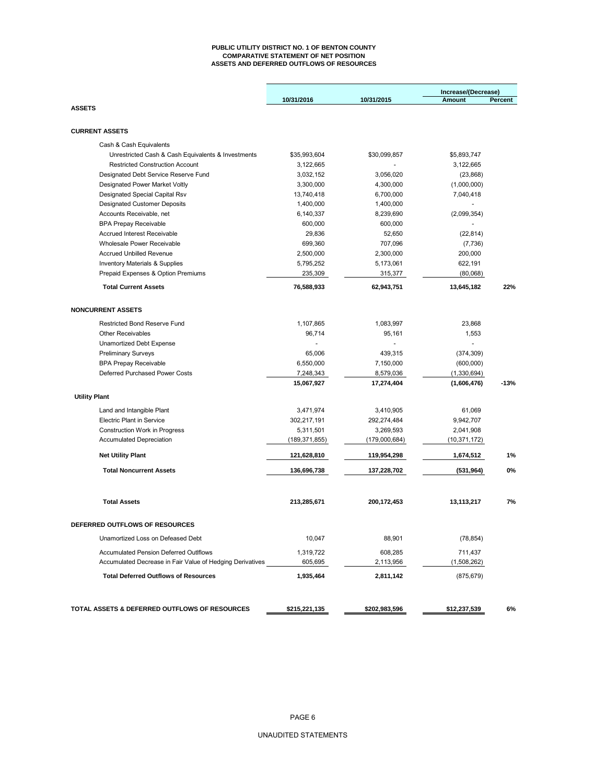#### **PUBLIC UTILITY DISTRICT NO. 1 OF BENTON COUNTY COMPARATIVE STATEMENT OF NET POSITION ASSETS AND DEFERRED OUTFLOWS OF RESOURCES**

|                                                           |                          |               | Increase/(Decrease) |         |  |
|-----------------------------------------------------------|--------------------------|---------------|---------------------|---------|--|
| <b>ASSETS</b>                                             | 10/31/2016               | 10/31/2015    | <b>Amount</b>       | Percent |  |
|                                                           |                          |               |                     |         |  |
| <b>CURRENT ASSETS</b>                                     |                          |               |                     |         |  |
| Cash & Cash Equivalents                                   |                          |               |                     |         |  |
| Unrestricted Cash & Cash Equivalents & Investments        | \$35,993,604             | \$30,099,857  | \$5,893,747         |         |  |
| <b>Restricted Construction Account</b>                    | 3,122,665                |               | 3,122,665           |         |  |
| Designated Debt Service Reserve Fund                      | 3,032,152                | 3,056,020     | (23, 868)           |         |  |
| Designated Power Market Voltly                            | 3,300,000                | 4,300,000     | (1,000,000)         |         |  |
| Designated Special Capital Rsv                            | 13,740,418               | 6,700,000     | 7,040,418           |         |  |
| <b>Designated Customer Deposits</b>                       | 1,400,000                | 1,400,000     | $\omega$            |         |  |
| Accounts Receivable, net                                  | 6,140,337                | 8,239,690     | (2,099,354)         |         |  |
| <b>BPA Prepay Receivable</b>                              | 600,000                  | 600,000       |                     |         |  |
| <b>Accrued Interest Receivable</b>                        | 29,836                   | 52,650        | (22, 814)           |         |  |
| Wholesale Power Receivable                                | 699,360                  | 707,096       | (7, 736)            |         |  |
| <b>Accrued Unbilled Revenue</b>                           | 2,500,000                | 2,300,000     | 200,000             |         |  |
| <b>Inventory Materials &amp; Supplies</b>                 | 5,795,252                | 5,173,061     | 622,191             |         |  |
| Prepaid Expenses & Option Premiums                        | 235,309                  | 315,377       | (80,068)            |         |  |
| <b>Total Current Assets</b>                               | 76,588,933               | 62,943,751    | 13,645,182          | 22%     |  |
| <b>NONCURRENT ASSETS</b>                                  |                          |               |                     |         |  |
| Restricted Bond Reserve Fund                              | 1,107,865                | 1,083,997     | 23,868              |         |  |
| <b>Other Receivables</b>                                  | 96.714                   | 95,161        | 1,553               |         |  |
| Unamortized Debt Expense                                  |                          |               |                     |         |  |
| <b>Preliminary Surveys</b>                                | 65.006                   | 439,315       | (374, 309)          |         |  |
| <b>BPA Prepay Receivable</b>                              | 6,550,000                | 7,150,000     | (600,000)           |         |  |
| Deferred Purchased Power Costs                            | 7,248,343                | 8,579,036     | (1,330,694)         |         |  |
|                                                           | 15,067,927               | 17,274,404    | (1,606,476)         | -13%    |  |
| <b>Utility Plant</b>                                      |                          |               |                     |         |  |
|                                                           |                          |               |                     |         |  |
| Land and Intangible Plant                                 | 3,471,974<br>302,217,191 | 3,410,905     | 61,069              |         |  |
| <b>Electric Plant in Service</b>                          |                          | 292,274,484   | 9,942,707           |         |  |
| Construction Work in Progress                             | 5,311,501                | 3,269,593     | 2,041,908           |         |  |
| <b>Accumulated Depreciation</b>                           | (189, 371, 855)          | (179,000,684) | (10, 371, 172)      |         |  |
| <b>Net Utility Plant</b>                                  | 121,628,810              | 119,954,298   | 1,674,512           | 1%      |  |
| <b>Total Noncurrent Assets</b>                            | 136,696,738              | 137,228,702   | (531, 964)          | 0%      |  |
| <b>Total Assets</b>                                       | 213,285,671              | 200, 172, 453 | 13,113,217          | 7%      |  |
| <b>DEFERRED OUTFLOWS OF RESOURCES</b>                     |                          |               |                     |         |  |
| Unamortized Loss on Defeased Debt                         | 10,047                   | 88,901        | (78, 854)           |         |  |
| <b>Accumulated Pension Deferred Outlflows</b>             | 1,319,722                | 608,285       | 711,437             |         |  |
| Accumulated Decrease in Fair Value of Hedging Derivatives | 605,695                  | 2,113,956     | (1,508,262)         |         |  |
| <b>Total Deferred Outflows of Resources</b>               | 1,935,464                | 2,811,142     | (875, 679)          |         |  |
|                                                           |                          |               |                     |         |  |
| TOTAL ASSETS & DEFERRED OUTFLOWS OF RESOURCES             | \$215,221,135            | \$202,983,596 | \$12,237,539        | 6%      |  |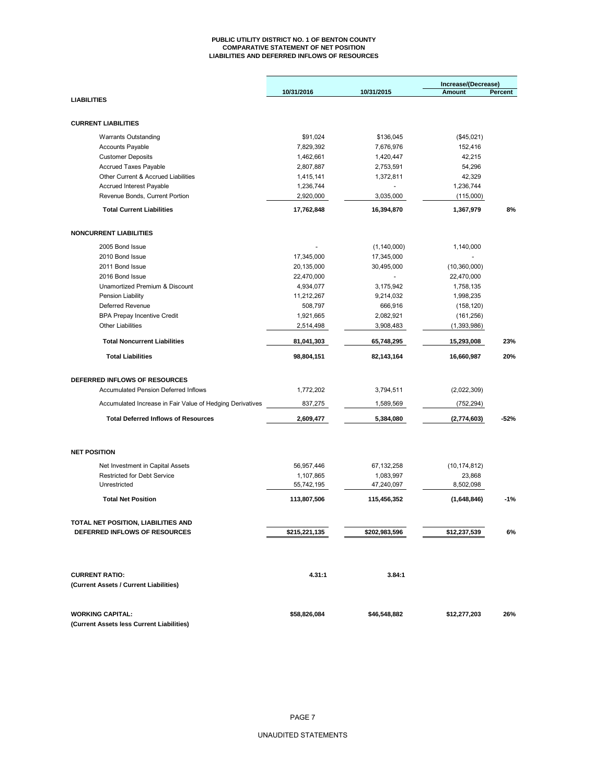#### **PUBLIC UTILITY DISTRICT NO. 1 OF BENTON COUNTY COMPARATIVE STATEMENT OF NET POSITION LIABILITIES AND DEFERRED INFLOWS OF RESOURCES**

|                                                                        |                         |                         | Increase/(Decrease)    |         |
|------------------------------------------------------------------------|-------------------------|-------------------------|------------------------|---------|
| <b>LIABILITIES</b>                                                     | 10/31/2016              | 10/31/2015              | Amount                 | Percent |
|                                                                        |                         |                         |                        |         |
| <b>CURRENT LIABILITIES</b>                                             |                         |                         |                        |         |
| <b>Warrants Outstanding</b>                                            | \$91,024                | \$136,045               | (\$45,021)             |         |
| <b>Accounts Payable</b>                                                | 7,829,392               | 7,676,976               | 152,416                |         |
| <b>Customer Deposits</b>                                               | 1,462,661               | 1,420,447               | 42,215                 |         |
| <b>Accrued Taxes Payable</b>                                           | 2,807,887               | 2,753,591               | 54,296                 |         |
| Other Current & Accrued Liabilities                                    | 1,415,141               | 1,372,811               | 42,329                 |         |
| <b>Accrued Interest Payable</b>                                        | 1,236,744               |                         | 1,236,744              |         |
| Revenue Bonds, Current Portion                                         | 2,920,000               | 3,035,000               | (115,000)              |         |
| <b>Total Current Liabilities</b>                                       | 17,762,848              | 16,394,870              | 1,367,979              | 8%      |
| <b>NONCURRENT LIABILITIES</b>                                          |                         |                         |                        |         |
| 2005 Bond Issue                                                        |                         | (1, 140, 000)           | 1,140,000              |         |
| 2010 Bond Issue                                                        | 17,345,000              | 17,345,000              |                        |         |
| 2011 Bond Issue                                                        | 20,135,000              | 30,495,000              | (10, 360, 000)         |         |
| 2016 Bond Issue                                                        | 22,470,000              |                         | 22,470,000             |         |
| Unamortized Premium & Discount                                         |                         | 3,175,942               |                        |         |
| Pension Liability                                                      | 4,934,077<br>11,212,267 | 9,214,032               | 1,758,135<br>1,998,235 |         |
| Deferred Revenue                                                       |                         |                         |                        |         |
|                                                                        | 508,797                 | 666,916                 | (158, 120)             |         |
| <b>BPA Prepay Incentive Credit</b><br><b>Other Liabilities</b>         | 1,921,665               | 2,082,921               | (161, 256)             |         |
|                                                                        | 2,514,498               | 3,908,483               | (1,393,986)            |         |
| <b>Total Noncurrent Liabilities</b>                                    | 81,041,303              | 65,748,295              | 15,293,008             | 23%     |
| <b>Total Liabilities</b>                                               | 98,804,151              | 82,143,164              | 16,660,987             | 20%     |
| DEFERRED INFLOWS OF RESOURCES                                          |                         |                         |                        |         |
| <b>Accumulated Pension Deferred Inflows</b>                            | 1,772,202               | 3,794,511               | (2,022,309)            |         |
|                                                                        |                         |                         |                        |         |
| Accumulated Increase in Fair Value of Hedging Derivatives              | 837,275                 | 1,589,569               | (752, 294)             |         |
| <b>Total Deferred Inflows of Resources</b>                             | 2,609,477               | 5,384,080               | (2,774,603)            | $-52%$  |
| <b>NET POSITION</b>                                                    |                         |                         |                        |         |
|                                                                        |                         |                         |                        |         |
| Net Investment in Capital Assets<br><b>Restricted for Debt Service</b> | 56,957,446<br>1,107,865 | 67,132,258<br>1,083,997 | (10, 174, 812)         |         |
| Unrestricted                                                           | 55,742,195              | 47,240,097              | 23,868<br>8,502,098    |         |
| <b>Total Net Position</b>                                              | 113,807,506             | 115,456,352             | (1,648,846)            | $-1%$   |
|                                                                        |                         |                         |                        |         |
| TOTAL NET POSITION, LIABILITIES AND                                    |                         |                         |                        |         |
| DEFERRED INFLOWS OF RESOURCES                                          | \$215,221,135           | \$202,983,596           | \$12,237,539           | 6%      |
|                                                                        |                         |                         |                        |         |
| <b>CURRENT RATIO:</b>                                                  | 4.31:1                  | 3.84:1                  |                        |         |
| (Current Assets / Current Liabilities)                                 |                         |                         |                        |         |
| <b>WORKING CAPITAL:</b>                                                | \$58,826,084            | \$46,548,882            | \$12,277,203           | 26%     |
|                                                                        |                         |                         |                        |         |

**(Current Assets less Current Liabilities)**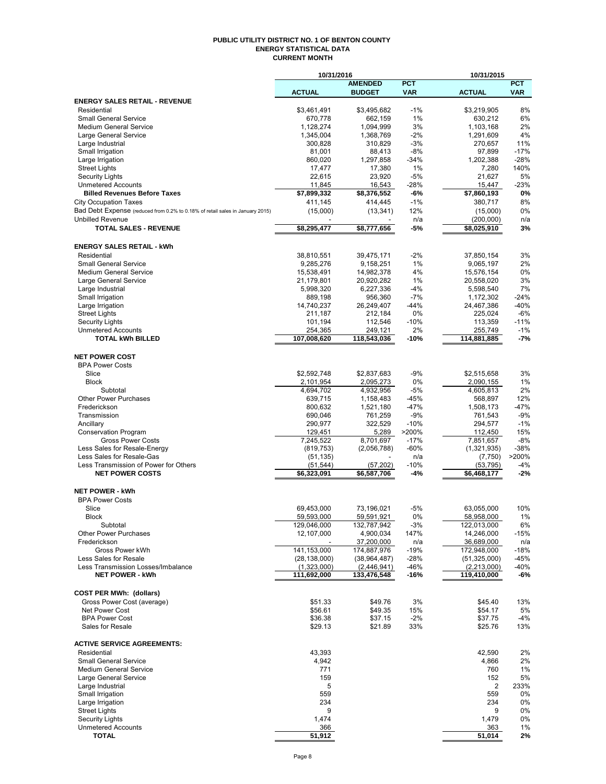#### **PUBLIC UTILITY DISTRICT NO. 1 OF BENTON COUNTY ENERGY STATISTICAL DATA CURRENT MONTH**

|                                                                               | 10/31/2016           |                      |                 | 10/31/2015           |              |
|-------------------------------------------------------------------------------|----------------------|----------------------|-----------------|----------------------|--------------|
|                                                                               |                      | <b>AMENDED</b>       | <b>PCT</b>      |                      | <b>PCT</b>   |
|                                                                               | <b>ACTUAL</b>        | <b>BUDGET</b>        | <b>VAR</b>      | <b>ACTUAL</b>        | <b>VAR</b>   |
| <b>ENERGY SALES RETAIL - REVENUE</b>                                          |                      |                      |                 |                      |              |
| Residential                                                                   | \$3,461,491          | \$3,495,682          | $-1%$           | \$3,219,905          | 8%           |
| <b>Small General Service</b>                                                  | 670,778              | 662,159              | 1%              | 630,212              | 6%           |
| <b>Medium General Service</b>                                                 | 1,128,274            | 1,094,999            | 3%              | 1,103,168            | 2%           |
| Large General Service<br>Large Industrial                                     | 1,345,004<br>300,828 | 1,368,769<br>310,829 | $-2%$<br>$-3%$  | 1,291,609<br>270,657 | 4%<br>11%    |
| Small Irrigation                                                              | 81,001               | 88,413               | $-8%$           | 97,899               | $-17%$       |
| Large Irrigation                                                              | 860,020              | 1,297,858            | $-34%$          | 1,202,388            | $-28%$       |
| <b>Street Lights</b>                                                          | 17,477               | 17,380               | 1%              | 7,280                | 140%         |
| <b>Security Lights</b>                                                        | 22,615               | 23,920               | $-5%$           | 21.627               | 5%           |
| <b>Unmetered Accounts</b>                                                     | 11,845               | 16,543               | $-28%$          | 15,447               | $-23%$       |
| <b>Billed Revenues Before Taxes</b>                                           | \$7,899,332          | \$8,376,552          | -6%             | \$7,860,193          | 0%           |
| <b>City Occupation Taxes</b>                                                  | 411,145              | 414,445              | $-1%$           | 380,717              | 8%           |
| Bad Debt Expense (reduced from 0.2% to 0.18% of retail sales in January 2015) | (15,000)             | (13, 341)            | 12%             | (15,000)             | 0%           |
| <b>Unbilled Revenue</b>                                                       |                      |                      | n/a             | (200,000)            | n/a          |
| <b>TOTAL SALES - REVENUE</b>                                                  | \$8,295,477          | \$8,777,656          | -5%             | \$8,025,910          | 3%           |
|                                                                               |                      |                      |                 |                      |              |
| <b>ENERGY SALES RETAIL - kWh</b>                                              |                      |                      |                 |                      |              |
| Residential                                                                   | 38,810,551           | 39,475,171           | $-2%$           | 37,850,154           | 3%           |
| <b>Small General Service</b>                                                  | 9,285,276            | 9,158,251            | 1%              | 9,065,197            | 2%           |
| <b>Medium General Service</b>                                                 | 15,538,491           | 14,982,378           | 4%              | 15,576,154           | 0%           |
| Large General Service                                                         | 21,179,801           | 20,920,282           | 1%              | 20,558,020           | 3%           |
| Large Industrial                                                              | 5,998,320            | 6,227,336            | $-4%$           | 5,598,540            | 7%           |
| Small Irrigation                                                              | 889,198              | 956,360              | $-7%$           | 1,172,302            | $-24%$       |
| Large Irrigation                                                              | 14,740,237           | 26,249,407           | $-44%$          | 24,467,386           | $-40%$       |
| <b>Street Lights</b>                                                          | 211,187              | 212,184              | 0%              | 225,024              | $-6%$        |
| <b>Security Lights</b>                                                        | 101,194              | 112,546              | $-10%$          | 113,359              | $-11%$       |
| <b>Unmetered Accounts</b>                                                     | 254,365              | 249,121              | 2%              | 255,749              | $-1%$        |
| <b>TOTAL kWh BILLED</b>                                                       | 107,008,620          | 118,543,036          | -10%            | 114,881,885          | -7%          |
|                                                                               |                      |                      |                 |                      |              |
| <b>NET POWER COST</b>                                                         |                      |                      |                 |                      |              |
| <b>BPA Power Costs</b>                                                        |                      |                      |                 |                      |              |
| Slice                                                                         | \$2,592,748          | \$2,837,683          | $-9%$           | \$2,515,658          | 3%           |
| <b>Block</b>                                                                  | 2,101,954            | 2,095,273            | 0%              | 2,090,155            | 1%           |
| Subtotal                                                                      | 4,694,702            | 4,932,956            | $-5%$           | 4,605,813            | 2%           |
| <b>Other Power Purchases</b>                                                  | 639,715              | 1,158,483            | $-45%$          | 568,897              | 12%          |
| Frederickson                                                                  | 800,632              | 1,521,180            | $-47%$          | 1,508,173            | $-47%$       |
| Transmission                                                                  | 690,046              | 761,259              | $-9%$           | 761,543              | $-9%$        |
| Ancillary                                                                     | 290,977              | 322,529              | $-10%$          | 294,577              | $-1%$<br>15% |
| <b>Conservation Program</b><br><b>Gross Power Costs</b>                       | 129,451<br>7,245,522 | 5,289<br>8,701,697   | >200%<br>$-17%$ | 112,450<br>7,851,657 | $-8%$        |
| Less Sales for Resale-Energy                                                  | (819, 753)           | (2,056,788)          | $-60%$          | (1,321,935)          | $-38%$       |
| Less Sales for Resale-Gas                                                     | (51, 135)            |                      | n/a             | (7,750)              | >200%        |
| Less Transmission of Power for Others                                         | (51, 544)            | (57, 202)            | $-10%$          | (53, 795)            | $-4%$        |
| <b>NET POWER COSTS</b>                                                        | \$6,323,091          | \$6,587,706          | -4%             | \$6,468,177          | $-2%$        |
|                                                                               |                      |                      |                 |                      |              |
| <b>NET POWER - kWh</b>                                                        |                      |                      |                 |                      |              |
| <b>BPA Power Costs</b>                                                        |                      |                      |                 |                      |              |
| Slice                                                                         | 69,453,000           | 73,196,021           | $-5%$           | 63,055,000           | 10%          |
| Block                                                                         | 59,593,000           | 59,591,921           | 0%              | 58,958,000           | 1%           |
| Subtotal                                                                      | 129,046,000          | 132,787,942          | $-3%$           | 122,013,000          | 6%           |
| <b>Other Power Purchases</b>                                                  | 12,107,000           | 4,900,034            | 147%            | 14,246,000           | $-15%$       |
| Frederickson                                                                  |                      | 37,200,000           | n/a             | 36,689,000           | n/a          |
| Gross Power kWh                                                               | 141,153,000          | 174,887,976          | $-19%$          | 172,948,000          | $-18%$       |
| Less Sales for Resale                                                         | (28, 138, 000)       | (38, 964, 487)       | $-28%$          | (51, 325, 000)       | -45%         |
| Less Transmission Losses/Imbalance                                            | (1,323,000)          | (2,446,941)          | $-46%$          | (2, 213, 000)        | -40%         |
| <b>NET POWER - kWh</b>                                                        | 111,692,000          | 133,476,548          | -16%            | 119,410,000          | -6%          |
|                                                                               |                      |                      |                 |                      |              |
| <b>COST PER MWh: (dollars)</b>                                                |                      |                      |                 |                      |              |
| Gross Power Cost (average)                                                    | \$51.33              | \$49.76              | 3%              | \$45.40              | 13%          |
| Net Power Cost                                                                | \$56.61              | \$49.35              | 15%             | \$54.17              | 5%           |
| <b>BPA Power Cost</b>                                                         | \$36.38              | \$37.15              | $-2%$           | \$37.75              | $-4%$        |
| Sales for Resale                                                              | \$29.13              | \$21.89              | 33%             | \$25.76              | 13%          |
|                                                                               |                      |                      |                 |                      |              |
| <b>ACTIVE SERVICE AGREEMENTS:</b>                                             |                      |                      |                 |                      |              |
| Residential                                                                   | 43,393               |                      |                 | 42,590               | 2%           |
| <b>Small General Service</b>                                                  | 4,942                |                      |                 | 4,866                | 2%           |
| <b>Medium General Service</b>                                                 | 771                  |                      |                 | 760                  | 1%           |
| Large General Service                                                         | 159                  |                      |                 | 152                  | 5%           |
| Large Industrial                                                              | 5                    |                      |                 | 2                    | 233%         |
| Small Irrigation                                                              | 559                  |                      |                 | 559                  | 0%           |
| Large Irrigation<br><b>Street Lights</b>                                      | 234<br>9             |                      |                 | 234<br>9             | 0%<br>0%     |
| <b>Security Lights</b>                                                        | 1,474                |                      |                 | 1,479                | 0%           |
| <b>Unmetered Accounts</b>                                                     | 366                  |                      |                 | 363                  | 1%           |
| <b>TOTAL</b>                                                                  | 51,912               |                      |                 | 51,014               | 2%           |
|                                                                               |                      |                      |                 |                      |              |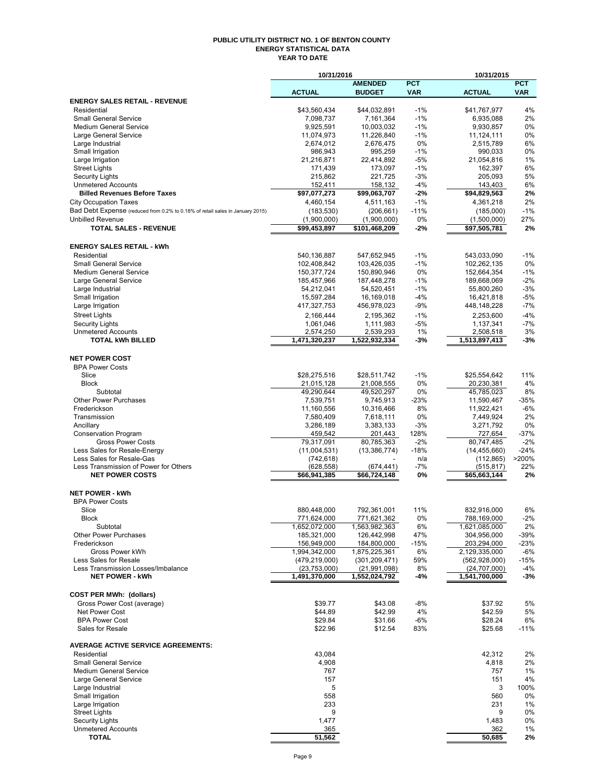#### **PUBLIC UTILITY DISTRICT NO. 1 OF BENTON COUNTY ENERGY STATISTICAL DATA YEAR TO DATE**

|                                                                                                               | 10/31/2016                      |                                 |                 | 10/31/2015                        |                 |
|---------------------------------------------------------------------------------------------------------------|---------------------------------|---------------------------------|-----------------|-----------------------------------|-----------------|
|                                                                                                               |                                 | <b>AMENDED</b>                  | <b>PCT</b>      |                                   | <b>PCT</b>      |
| <b>ENERGY SALES RETAIL - REVENUE</b>                                                                          | <b>ACTUAL</b>                   | <b>BUDGET</b>                   | <b>VAR</b>      | <b>ACTUAL</b>                     | <b>VAR</b>      |
| Residential                                                                                                   | \$43,560,434                    | \$44,032,891                    | $-1%$           | \$41,767,977                      | 4%              |
| <b>Small General Service</b>                                                                                  | 7,098,737                       | 7,161,364                       | $-1%$           | 6,935,088                         | 2%              |
| <b>Medium General Service</b>                                                                                 | 9,925,591                       | 10,003,032                      | $-1%$           | 9,930,857                         | 0%              |
| Large General Service                                                                                         | 11,074,973                      | 11,226,840                      | $-1%$           | 11,124,111                        | 0%              |
| Large Industrial<br>Small Irrigation                                                                          | 2,674,012<br>986,943            | 2,676,475<br>995,259            | 0%<br>$-1%$     | 2,515,789<br>990,033              | 6%<br>0%        |
| Large Irrigation                                                                                              | 21,216,871                      | 22,414,892                      | $-5%$           | 21,054,816                        | 1%              |
| <b>Street Lights</b>                                                                                          | 171,439                         | 173,097                         | $-1%$           | 162,397                           | 6%              |
| <b>Security Lights</b>                                                                                        | 215,862                         | 221,725                         | $-3%$           | 205.093                           | 5%              |
| <b>Unmetered Accounts</b>                                                                                     | 152,411                         | 158,132                         | $-4%$           | 143,403                           | 6%              |
| <b>Billed Revenues Before Taxes</b>                                                                           | \$97,077,273                    | \$99,063,707                    | $-2%$           | \$94,829,563                      | 2%              |
| <b>City Occupation Taxes</b><br>Bad Debt Expense (reduced from 0.2% to 0.18% of retail sales in January 2015) | 4,460,154                       | 4,511,163<br>(206, 661)         | $-1%$<br>$-11%$ | 4,361,218                         | 2%<br>$-1%$     |
| <b>Unbilled Revenue</b>                                                                                       | (183, 530)<br>(1,900,000)       | (1,900,000)                     | 0%              | (185,000)<br>(1,500,000)          | 27%             |
| <b>TOTAL SALES - REVENUE</b>                                                                                  | \$99,453,897                    | \$101,468,209                   | -2%             | \$97,505,781                      | 2%              |
|                                                                                                               |                                 |                                 |                 |                                   |                 |
| <b>ENERGY SALES RETAIL - kWh</b>                                                                              |                                 |                                 |                 |                                   |                 |
| Residential                                                                                                   | 540,136,887                     | 547,652,945                     | $-1%$           | 543,033,090                       | $-1%$           |
| <b>Small General Service</b>                                                                                  | 102,408,842                     | 103,426,035                     | $-1%$           | 102,262,135                       | 0%              |
| <b>Medium General Service</b>                                                                                 | 150,377,724                     | 150,890,946                     | 0%              | 152,664,354                       | $-1%$           |
| Large General Service                                                                                         | 185,457,966                     | 187,448,278<br>54,520,451       | $-1%$<br>$-1%$  | 189,668,069                       | $-2%$<br>$-3%$  |
| Large Industrial<br>Small Irrigation                                                                          | 54,212,041<br>15,597,284        | 16,169,018                      | $-4%$           | 55,800,260<br>16,421,818          | $-5%$           |
| Large Irrigation                                                                                              | 417,327,753                     | 456,978,023                     | $-9%$           | 448,148,228                       | $-7%$           |
| <b>Street Lights</b>                                                                                          | 2,166,444                       | 2,195,362                       | $-1%$           | 2,253,600                         | $-4%$           |
| <b>Security Lights</b>                                                                                        | 1,061,046                       | 1,111,983                       | $-5%$           | 1,137,341                         | $-7%$           |
| <b>Unmetered Accounts</b>                                                                                     | 2,574,250                       | 2,539,293                       | 1%              | 2,508,518                         | 3%              |
| <b>TOTAL kWh BILLED</b>                                                                                       | 1,471,320,237                   | 1,522,932,334                   | -3%             | 1,513,897,413                     | -3%             |
|                                                                                                               |                                 |                                 |                 |                                   |                 |
| <b>NET POWER COST</b>                                                                                         |                                 |                                 |                 |                                   |                 |
| <b>BPA Power Costs</b><br>Slice                                                                               | \$28,275,516                    | \$28,511,742                    | $-1%$           | \$25,554,642                      | 11%             |
| <b>Block</b>                                                                                                  | 21,015,128                      | 21,008,555                      | 0%              | 20,230,381                        | 4%              |
| Subtotal                                                                                                      | 49,290,644                      | 49,520,297                      | 0%              | 45,785,023                        | 8%              |
| <b>Other Power Purchases</b>                                                                                  | 7,539,751                       | 9,745,913                       | $-23%$          | 11,590,467                        | $-35%$          |
| Frederickson                                                                                                  | 11,160,556                      | 10,316,466                      | 8%              | 11,922,421                        | $-6%$           |
| Transmission                                                                                                  | 7,580,409                       | 7,618,111                       | 0%              | 7,449,924                         | 2%              |
| Ancillary                                                                                                     | 3,286,189                       | 3,383,133                       | $-3%$           | 3,271,792                         | 0%              |
| <b>Conservation Program</b><br><b>Gross Power Costs</b>                                                       | 459,542<br>79,317,091           | 201,443<br>80,785,363           | 128%<br>$-2%$   | 727,654<br>80,747,485             | $-37%$<br>$-2%$ |
| Less Sales for Resale-Energy                                                                                  | (11,004,531)                    | (13, 386, 774)                  | -18%            | (14, 455, 660)                    | $-24%$          |
| Less Sales for Resale-Gas                                                                                     | (742, 618)                      |                                 | n/a             | (112, 865)                        | >200%           |
| Less Transmission of Power for Others                                                                         | (628, 558)                      | (674,441)                       | $-7%$           | (515, 817)                        | 22%             |
| <b>NET POWER COSTS</b>                                                                                        | \$66,941,385                    | \$66,724,148                    | 0%              | \$65,663,144                      | 2%              |
|                                                                                                               |                                 |                                 |                 |                                   |                 |
| <b>NET POWER - kWh</b><br><b>BPA Power Costs</b>                                                              |                                 |                                 |                 |                                   |                 |
| Slice                                                                                                         | 880,448,000                     | 792,361,001                     | 11%             | 832,916,000                       | 6%              |
| <b>Block</b>                                                                                                  | 771,624,000                     | 771,621,362                     | 0%              | 788,169,000                       | $-2%$           |
| Subtotal                                                                                                      | 1,652,072,000                   | 1,563,982,363                   | 6%              | 1,621,085,000                     | 2%              |
| <b>Other Power Purchases</b>                                                                                  | 185,321,000                     | 126,442,998                     | 47%             | 304,956,000                       | -39%            |
| Frederickson                                                                                                  | 156,949,000                     | 184,800,000                     | -15%            | 203,294,000                       | -23%            |
| Gross Power kWh<br>Less Sales for Resale                                                                      | 1,994,342,000                   | 1,875,225,361                   | 6%<br>59%       | 2,129,335,000                     | -6%<br>$-15%$   |
| Less Transmission Losses/Imbalance                                                                            | (479, 219, 000)<br>(23,753,000) | (301, 209, 471)<br>(21,991,098) | 8%              | (562, 928, 000)<br>(24, 707, 000) | $-4%$           |
| <b>NET POWER - kWh</b>                                                                                        | 1,491,370,000                   | 1,552,024,792                   | -4%             | 1,541,700,000                     | -3%             |
|                                                                                                               |                                 |                                 |                 |                                   |                 |
| <b>COST PER MWh: (dollars)</b>                                                                                |                                 |                                 |                 |                                   |                 |
| Gross Power Cost (average)                                                                                    | \$39.77                         | \$43.08                         | $-8%$           | \$37.92                           | 5%              |
| Net Power Cost                                                                                                | \$44.89                         | \$42.99                         | 4%              | \$42.59                           | 5%              |
| <b>BPA Power Cost</b><br>Sales for Resale                                                                     | \$29.84<br>\$22.96              | \$31.66<br>\$12.54              | -6%<br>83%      | \$28.24<br>\$25.68                | 6%<br>$-11%$    |
|                                                                                                               |                                 |                                 |                 |                                   |                 |
| <b>AVERAGE ACTIVE SERVICE AGREEMENTS:</b>                                                                     |                                 |                                 |                 |                                   |                 |
| Residential                                                                                                   | 43,084                          |                                 |                 | 42,312                            | 2%              |
| <b>Small General Service</b>                                                                                  | 4,908                           |                                 |                 | 4,818                             | 2%              |
| <b>Medium General Service</b>                                                                                 | 767                             |                                 |                 | 757                               | 1%              |
| Large General Service<br>Large Industrial                                                                     | 157<br>5                        |                                 |                 | 151<br>3                          | 4%<br>100%      |
| Small Irrigation                                                                                              | 558                             |                                 |                 | 560                               | 0%              |
| Large Irrigation                                                                                              | 233                             |                                 |                 | 231                               | 1%              |
| <b>Street Lights</b>                                                                                          | 9                               |                                 |                 | 9                                 | 0%              |
| <b>Security Lights</b>                                                                                        | 1,477                           |                                 |                 | 1,483                             | 0%              |
| <b>Unmetered Accounts</b>                                                                                     | 365                             |                                 |                 | 362                               | 1%              |
| <b>TOTAL</b>                                                                                                  | 51,562                          |                                 |                 | 50,685                            | 2%              |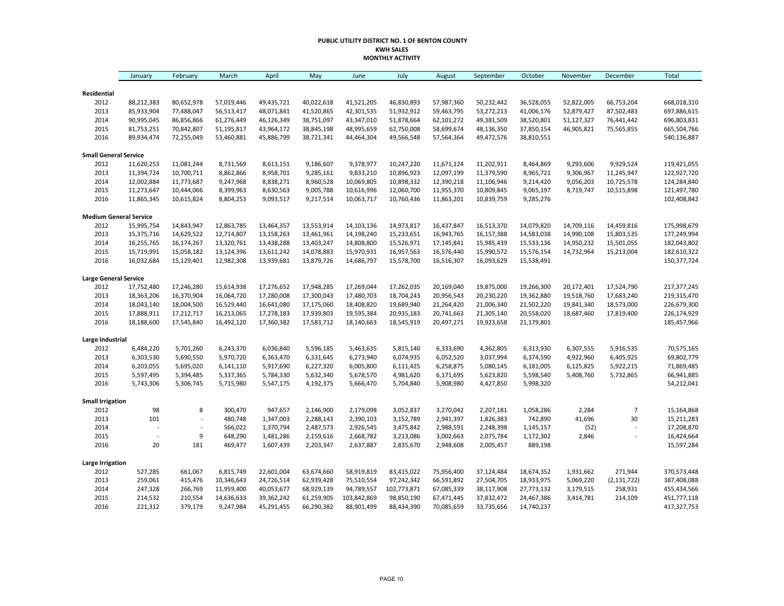#### **PUBLIC UTILITY DISTRICT NO. 1 OF BENTON COUNTY KWH SALES MONTHLY ACTIVITY**

|                               | January                  | February                 | March                    | April                    | May                      | June                     | July                     | August                   | September                | October                  | November                 | December                 | <b>Total</b>               |
|-------------------------------|--------------------------|--------------------------|--------------------------|--------------------------|--------------------------|--------------------------|--------------------------|--------------------------|--------------------------|--------------------------|--------------------------|--------------------------|----------------------------|
|                               |                          |                          |                          |                          |                          |                          |                          |                          |                          |                          |                          |                          |                            |
| Residential                   |                          |                          |                          |                          |                          |                          |                          |                          |                          |                          |                          |                          |                            |
| 2012<br>2013                  | 88,212,383<br>85,933,904 | 80,652,978<br>77,488,047 | 57,019,446<br>56,513,417 | 49,435,721<br>48,071,841 | 40,022,618<br>41,520,865 | 41,521,205<br>42,301,535 | 46,830,893<br>51,932,912 | 57,987,360<br>59,463,795 | 50,232,442<br>53,272,213 | 36,528,055<br>41,006,176 | 52,822,005<br>52,879,427 | 66,753,204<br>87,502,483 | 668,018,310<br>697,886,615 |
| 2014                          | 90,995,045               | 86,856,866               | 61,276,449               | 46,126,349               | 38,751,097               | 43,347,010               | 51,878,664               | 62,101,272               | 49,381,509               | 38,520,801               | 51,127,327               | 76,441,442               | 696,803,831                |
| 2015                          | 81,753,251               | 70,842,807               | 51,195,817               | 43,964,172               | 38,845,198               | 48,995,659               | 62,750,008               | 58,699,674               | 48,136,350               | 37,850,154               | 46,905,821               | 75,565,855               | 665,504,766                |
| 2016                          | 89,934,474               | 72,255,049               | 53,460,881               | 45,886,799               | 38,721,341               | 44,464,304               | 49,566,548               | 57,564,364               | 49,472,576               | 38,810,551               |                          |                          | 540,136,887                |
| <b>Small General Service</b>  |                          |                          |                          |                          |                          |                          |                          |                          |                          |                          |                          |                          |                            |
| 2012                          | 11,620,253               | 11,081,244               | 8,731,569                | 8,613,151                | 9,186,607                | 9,378,977                | 10,247,220               | 11,671,124               | 11,202,911               | 8,464,869                | 9,293,606                | 9,929,524                | 119,421,055                |
| 2013                          | 11,394,724               | 10,700,711               | 8,862,866                | 8,958,701                | 9,285,161                | 9,833,210                | 10,896,923               | 12,097,199               | 11,379,590               | 8,965,721                | 9,306,967                | 11,245,947               | 122,927,720                |
| 2014                          | 12,002,884               | 11,773,687               | 9,247,968                | 8,838,271                | 8,960,528                | 10,069,805               | 10,898,332               | 12,390,218               | 11,106,946               | 9,214,420                | 9,056,203                | 10,725,578               | 124,284,840                |
| 2015                          | 11,273,647               | 10,444,066               | 8,399,963                | 8,630,563                | 9,005,788                | 10,616,996               | 12,060,700               | 11,955,370               | 10,809,845               | 9,065,197                | 8,719,747                | 10,515,898               | 121,497,780                |
| 2016                          | 11,865,345               | 10,615,824               | 8,804,253                | 9,093,517                | 9,217,514                | 10,063,717               | 10,760,436               | 11,863,201               | 10,839,759               | 9,285,276                |                          |                          | 102,408,842                |
| <b>Medium General Service</b> |                          |                          |                          |                          |                          |                          |                          |                          |                          |                          |                          |                          |                            |
| 2012                          | 15,995,754               | 14,843,947               | 12,863,785               | 13,464,357               | 13,553,914               | 14,103,136               | 14,973,817               | 16,437,847               | 16,513,370               | 14,079,820               | 14,709,116               | 14,459,816               | 175,998,679                |
| 2013                          | 15,375,716               | 14,629,522               | 12,714,807               | 13,158,263               | 13,461,961               | 14,198,240               | 15,233,651               | 16,943,765               | 16,157,388               | 14,583,038               | 14,990,108               | 15,803,535               | 177,249,994                |
| 2014                          | 16,255,765               | 16,174,267               | 13,320,761               | 13,438,288               | 13,403,247               | 14,808,800               | 15,526,971               | 17,145,841               | 15,985,439               | 15,533,136               | 14,950,232               | 15,501,055               | 182,043,802                |
| 2015                          | 15,719,991               | 15,058,182               | 13,124,396               | 13,611,242               | 14,078,883               | 15,970,931               | 16,957,563               | 16,576,440               | 15,990,572               | 15,576,154               | 14,732,964               | 15,213,004               | 182,610,322                |
| 2016                          | 16,032,684               | 15,129,401               | 12,982,308               | 13,939,681               | 13,879,726               | 14,686,797               | 15,578,700               | 16,516,307               | 16,093,629               | 15,538,491               |                          |                          | 150,377,724                |
| <b>Large General Service</b>  |                          |                          |                          |                          |                          |                          |                          |                          |                          |                          |                          |                          |                            |
| 2012                          | 17,752,480               | 17,246,280               | 15,614,938               | 17,276,652               | 17,948,285               | 17,269,044               | 17,262,035               | 20,169,040               | 19,875,000               | 19,266,300               | 20,172,401               | 17,524,790               | 217,377,245                |
| 2013                          | 18,363,206               | 16,370,904               | 16,064,720               | 17,280,008               | 17,300,043               | 17,480,703               | 18,704,243               | 20,956,543               | 20,230,220               | 19,362,880               | 19,518,760               | 17,683,240               | 219,315,470                |
| 2014                          | 18,043,140               | 18,004,500               | 16,529,440               | 16,641,080               | 17,175,060               | 18,408,820               | 19,689,940               | 21,264,420               | 21,006,340               | 21,502,220               | 19,841,340               | 18,573,000               | 226,679,300                |
| 2015                          | 17,888,911               | 17,212,717               | 16,213,065               | 17,278,183               | 17,939,803               | 19,595,384               | 20,935,183               | 20,741,663               | 21,305,140               | 20,558,020               | 18,687,460               | 17,819,400               | 226,174,929                |
| 2016                          | 18,188,600               | 17,545,840               | 16,492,120               | 17,360,382               | 17,583,712               | 18,140,663               | 18,545,919               | 20,497,271               | 19,923,658               | 21,179,801               |                          |                          | 185,457,966                |
| Large Industrial              |                          |                          |                          |                          |                          |                          |                          |                          |                          |                          |                          |                          |                            |
| 2012                          | 6,484,220                | 5,701,260                | 6,243,370                | 6,036,840                | 5,596,185                | 5,463,635                | 5,815,140                | 6,333,690                | 4,362,805                | 6,313,930                | 6,307,555                | 5,916,535                | 70,575,165                 |
| 2013                          | 6,303,530                | 5,690,550                | 5,970,720                | 6,363,470                | 6,331,645                | 6,273,940                | 6,074,935                | 6,052,520                | 3,037,994                | 6,374,590                | 4,922,960                | 6,405,925                | 69,802,779                 |
| 2014                          | 6,203,055                | 5,695,020                | 6,141,110                | 5,917,690                | 6,227,320                | 6,005,800                | 6,111,425                | 6,258,875                | 5,080,145                | 6,181,005                | 6,125,825                | 5,922,215                | 71,869,485                 |
| 2015                          | 5,597,495                | 5,394,485                | 5,337,365                | 5,784,330                | 5,632,340                | 5,678,570                | 4,981,620                | 6,171,695                | 5,623,820                | 5,598,540                | 5,408,760                | 5,732,865                | 66,941,885                 |
| 2016                          | 5,743,306                | 5,306,745                | 5,715,980                | 5,547,175                | 4,192,375                | 5,666,470                | 5,704,840                | 5,908,980                | 4,427,850                | 5,998,320                |                          |                          | 54,212,041                 |
| <b>Small Irrigation</b>       |                          |                          |                          |                          |                          |                          |                          |                          |                          |                          |                          |                          |                            |
| 2012                          | 98                       | 8                        | 300,470                  | 947,657                  | 2,146,900                | 2,179,098                | 3,052,837                | 3,270,042                | 2,207,181                | 1,058,286                | 2,284                    | $\overline{7}$           | 15,164,868                 |
| 2013                          | 101                      | $\overline{a}$           | 480,748                  | 1,347,003                | 2,288,143                | 2,390,103                | 3,152,789                | 2,941,397                | 1,826,383                | 742,890                  | 41,696                   | 30                       | 15,211,283                 |
| 2014                          |                          |                          | 566,022                  | 1,370,794                | 2,487,573                | 2,926,545                | 3,475,842                | 2,988,591                | 2,248,398                | 1,145,157                | (52)                     | L,                       | 17,208,870                 |
| 2015                          |                          | 9                        | 648,290                  | 1,481,286                | 2,159,616                | 2,668,782                | 3,213,086                | 3,002,663                | 2,075,784                | 1,172,302                | 2,846                    | ÷                        | 16,424,664                 |
| 2016                          | 20                       | 181                      | 469,477                  | 1,607,439                | 2,203,347                | 2,637,887                | 2,835,670                | 2,948,608                | 2,005,457                | 889,198                  |                          |                          | 15,597,284                 |
| <b>Large Irrigation</b>       |                          |                          |                          |                          |                          |                          |                          |                          |                          |                          |                          |                          |                            |
| 2012                          | 527,285                  | 661,067                  | 6,815,749                | 22,601,004               | 63,674,660               | 58,919,819               | 83,415,022               | 75,956,400               | 37,124,484               | 18,674,352               | 1,931,662                | 271,944                  | 370,573,448                |
| 2013                          | 259,061                  | 415,476                  | 10,346,643               | 24,726,514               | 62,939,428               | 75,510,554               | 97,242,342               | 66,591,892               | 27,504,705               | 18,933,975               | 5,069,220                | (2, 131, 722)            | 387,408,088                |
| 2014                          | 247,328                  | 266,769                  | 11,959,400               | 40,053,677               | 68,929,139               | 94,789,557               | 102,773,871              | 67,085,339               | 38,117,908               | 27,773,132               | 3,179,515                | 258,931                  | 455,434,566                |
| 2015                          | 214,532                  | 210,554                  | 14,636,633               | 39,362,242               | 61,259,905               | 103,842,869              | 98,850,190               | 67,471,445               | 37,832,472               | 24,467,386               | 3,414,781                | 214,109                  | 451,777,118                |
| 2016                          | 221,312                  | 379,179                  | 9,247,984                | 45,291,455               | 66,290,382               | 88,901,499               | 88,434,390               | 70,085,659               | 33,735,656               | 14,740,237               |                          |                          | 417,327,753                |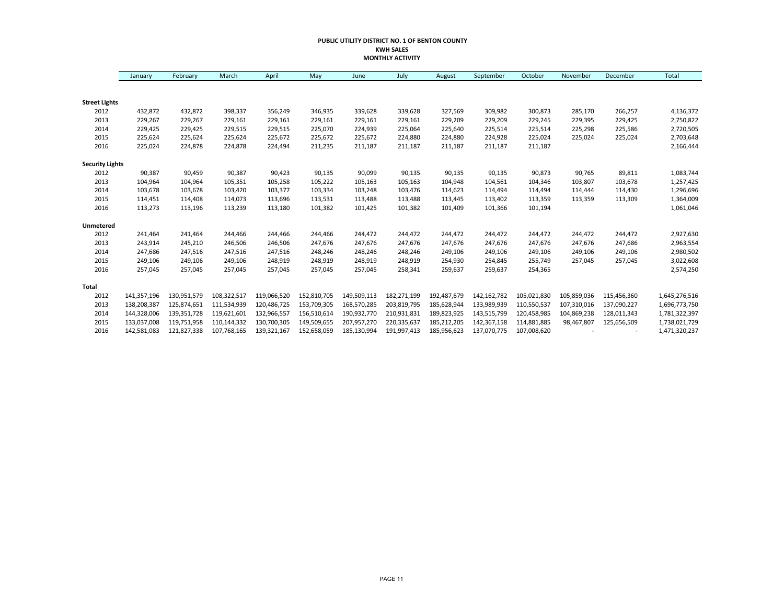#### **PUBLIC UTILITY DISTRICT NO. 1 OF BENTON COUNTY KWH SALES MONTHLY ACTIVITY**

|                        | January     | February    | March       | April       | May         | June        | July        | August      | September   | October     | November    | December    | Total         |
|------------------------|-------------|-------------|-------------|-------------|-------------|-------------|-------------|-------------|-------------|-------------|-------------|-------------|---------------|
|                        |             |             |             |             |             |             |             |             |             |             |             |             |               |
| <b>Street Lights</b>   |             |             |             |             |             |             |             |             |             |             |             |             |               |
| 2012                   | 432,872     | 432,872     | 398,337     | 356,249     | 346,935     | 339,628     | 339,628     | 327,569     | 309,982     | 300,873     | 285,170     | 266,257     | 4,136,372     |
| 2013                   | 229,267     | 229,267     | 229,161     | 229,161     | 229,161     | 229,161     | 229,161     | 229,209     | 229,209     | 229,245     | 229,395     | 229,425     | 2,750,822     |
| 2014                   | 229,425     | 229,425     | 229,515     | 229,515     | 225,070     | 224,939     | 225,064     | 225,640     | 225,514     | 225,514     | 225,298     | 225,586     | 2,720,505     |
| 2015                   | 225,624     | 225,624     | 225,624     | 225,672     | 225,672     | 225,672     | 224,880     | 224,880     | 224,928     | 225,024     | 225,024     | 225,024     | 2,703,648     |
| 2016                   | 225,024     | 224,878     | 224,878     | 224,494     | 211,235     | 211,187     | 211,187     | 211,187     | 211,187     | 211,187     |             |             | 2,166,444     |
| <b>Security Lights</b> |             |             |             |             |             |             |             |             |             |             |             |             |               |
| 2012                   | 90,387      | 90,459      | 90,387      | 90,423      | 90,135      | 90,099      | 90,135      | 90,135      | 90,135      | 90,873      | 90,765      | 89,811      | 1,083,744     |
| 2013                   | 104,964     | 104,964     | 105,351     | 105,258     | 105,222     | 105,163     | 105,163     | 104,948     | 104,561     | 104,346     | 103,807     | 103,678     | 1,257,425     |
| 2014                   | 103,678     | 103,678     | 103,420     | 103,377     | 103,334     | 103,248     | 103,476     | 114,623     | 114,494     | 114,494     | 114,444     | 114,430     | 1,296,696     |
| 2015                   | 114,451     | 114,408     | 114,073     | 113,696     | 113,531     | 113,488     | 113,488     | 113,445     | 113,402     | 113,359     | 113,359     | 113,309     | 1,364,009     |
| 2016                   | 113,273     | 113,196     | 113,239     | 113,180     | 101,382     | 101,425     | 101,382     | 101,409     | 101,366     | 101,194     |             |             | 1,061,046     |
| Unmetered              |             |             |             |             |             |             |             |             |             |             |             |             |               |
| 2012                   | 241,464     | 241,464     | 244,466     | 244,466     | 244,466     | 244,472     | 244,472     | 244,472     | 244,472     | 244,472     | 244,472     | 244,472     | 2,927,630     |
| 2013                   | 243,914     | 245,210     | 246,506     | 246,506     | 247,676     | 247,676     | 247,676     | 247,676     | 247,676     | 247,676     | 247,676     | 247,686     | 2,963,554     |
| 2014                   | 247,686     | 247,516     | 247,516     | 247,516     | 248,246     | 248,246     | 248,246     | 249,106     | 249,106     | 249,106     | 249,106     | 249,106     | 2,980,502     |
| 2015                   | 249,106     | 249,106     | 249,106     | 248,919     | 248,919     | 248,919     | 248,919     | 254,930     | 254,845     | 255,749     | 257,045     | 257,045     | 3,022,608     |
| 2016                   | 257,045     | 257,045     | 257,045     | 257,045     | 257,045     | 257,045     | 258,341     | 259,637     | 259,637     | 254,365     |             |             | 2,574,250     |
| Total                  |             |             |             |             |             |             |             |             |             |             |             |             |               |
| 2012                   | 141,357,196 | 130,951,579 | 108,322,517 | 119,066,520 | 152,810,705 | 149,509,113 | 182,271,199 | 192,487,679 | 142,162,782 | 105,021,830 | 105,859,036 | 115,456,360 | 1,645,276,516 |
| 2013                   | 138,208,387 | 125,874,651 | 111,534,939 | 120,486,725 | 153,709,305 | 168,570,285 | 203,819,795 | 185,628,944 | 133,989,939 | 110,550,537 | 107,310,016 | 137,090,227 | 1,696,773,750 |
| 2014                   | 144,328,006 | 139,351,728 | 119,621,601 | 132,966,557 | 156,510,614 | 190,932,770 | 210,931,831 | 189,823,925 | 143,515,799 | 120,458,985 | 104,869,238 | 128,011,343 | 1,781,322,397 |
| 2015                   | 133,037,008 | 119,751,958 | 110,144,332 | 130,700,305 | 149,509,655 | 207,957,270 | 220,335,637 | 185,212,205 | 142,367,158 | 114,881,885 | 98,467,807  | 125,656,509 | 1,738,021,729 |
| 2016                   | 142,581,083 | 121,827,338 | 107,768,165 | 139,321,167 | 152,658,059 | 185,130,994 | 191,997,413 | 185,956,623 | 137,070,775 | 107,008,620 |             |             | 1,471,320,237 |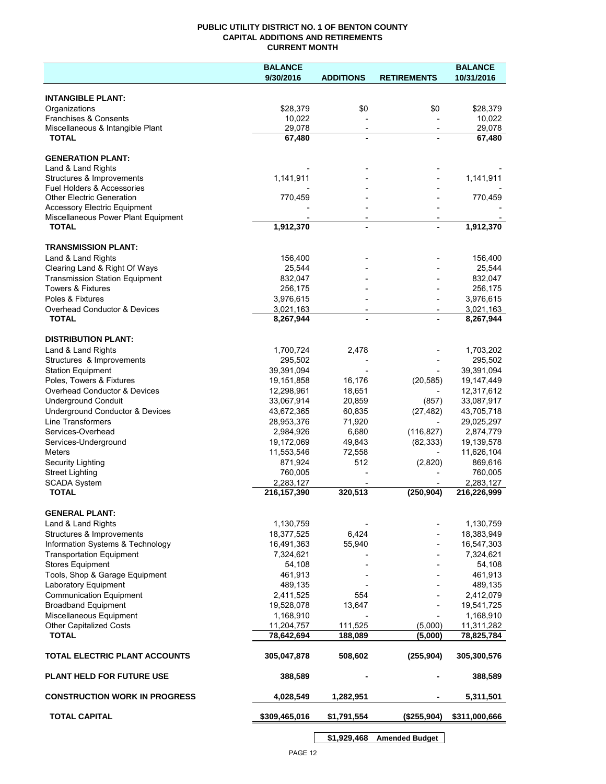## **PUBLIC UTILITY DISTRICT NO. 1 OF BENTON COUNTY CAPITAL ADDITIONS AND RETIREMENTS CURRENT MONTH**

|                                                             | <b>BALANCE</b>           |                                            |                          | <b>BALANCE</b>           |  |
|-------------------------------------------------------------|--------------------------|--------------------------------------------|--------------------------|--------------------------|--|
|                                                             | 9/30/2016                | <b>ADDITIONS</b>                           | <b>RETIREMENTS</b>       | 10/31/2016               |  |
| <b>INTANGIBLE PLANT:</b>                                    |                          |                                            |                          |                          |  |
| Organizations                                               | \$28,379                 | \$0                                        | \$0                      | \$28,379                 |  |
| Franchises & Consents                                       | 10,022                   |                                            |                          | 10,022                   |  |
| Miscellaneous & Intangible Plant                            | 29,078                   | $\overline{\phantom{a}}$                   | $\overline{\phantom{a}}$ | 29,078                   |  |
| <b>TOTAL</b>                                                | 67,480                   | $\blacksquare$                             |                          | 67,480                   |  |
| <b>GENERATION PLANT:</b>                                    |                          |                                            |                          |                          |  |
| Land & Land Rights                                          |                          |                                            |                          |                          |  |
| Structures & Improvements                                   | 1,141,911                |                                            |                          | 1,141,911                |  |
| <b>Fuel Holders &amp; Accessories</b>                       |                          |                                            |                          |                          |  |
| <b>Other Electric Generation</b>                            | 770,459                  |                                            |                          | 770,459                  |  |
| <b>Accessory Electric Equipment</b>                         |                          |                                            |                          |                          |  |
| Miscellaneous Power Plant Equipment<br><b>TOTAL</b>         | 1,912,370                | $\overline{\phantom{a}}$<br>$\blacksquare$ |                          | 1,912,370                |  |
|                                                             |                          |                                            |                          |                          |  |
| <b>TRANSMISSION PLANT:</b>                                  |                          |                                            |                          |                          |  |
| Land & Land Rights                                          | 156,400                  |                                            |                          | 156,400                  |  |
| Clearing Land & Right Of Ways                               | 25,544                   |                                            |                          | 25,544                   |  |
| <b>Transmission Station Equipment</b>                       | 832,047                  |                                            |                          | 832,047                  |  |
| <b>Towers &amp; Fixtures</b>                                | 256,175                  |                                            |                          | 256,175                  |  |
| Poles & Fixtures                                            | 3,976,615                |                                            |                          | 3,976,615                |  |
| Overhead Conductor & Devices<br><b>TOTAL</b>                | 3,021,163<br>8,267,944   |                                            |                          | 3,021,163<br>8,267,944   |  |
|                                                             |                          |                                            |                          |                          |  |
| <b>DISTRIBUTION PLANT:</b>                                  |                          |                                            |                          |                          |  |
| Land & Land Rights                                          | 1,700,724                | 2,478                                      |                          | 1,703,202                |  |
| Structures & Improvements                                   | 295,502                  |                                            |                          | 295,502                  |  |
| <b>Station Equipment</b>                                    | 39,391,094               |                                            |                          | 39,391,094               |  |
| Poles, Towers & Fixtures                                    | 19,151,858               | 16,176                                     | (20, 585)                | 19,147,449               |  |
| Overhead Conductor & Devices                                | 12,298,961               | 18,651                                     |                          | 12,317,612               |  |
| <b>Underground Conduit</b>                                  | 33,067,914               | 20,859                                     | (857)                    | 33,087,917               |  |
| Underground Conductor & Devices<br><b>Line Transformers</b> | 43,672,365<br>28,953,376 | 60,835<br>71,920                           | (27, 482)                | 43,705,718<br>29,025,297 |  |
| Services-Overhead                                           | 2,984,926                | 6,680                                      | (116, 827)               | 2,874,779                |  |
| Services-Underground                                        | 19,172,069               | 49,843                                     | (82, 333)                | 19,139,578               |  |
| Meters                                                      | 11,553,546               | 72,558                                     |                          | 11,626,104               |  |
| Security Lighting                                           | 871,924                  | 512                                        | (2,820)                  | 869,616                  |  |
| <b>Street Lighting</b>                                      | 760,005                  |                                            |                          | 760,005                  |  |
| <b>SCADA System</b>                                         | 2,283,127                |                                            |                          | 2,283,127                |  |
| <b>TOTAL</b>                                                | 216, 157, 390            | 320,513                                    | (250, 904)               | 216,226,999              |  |
| <b>GENERAL PLANT:</b>                                       |                          |                                            |                          |                          |  |
| Land & Land Rights                                          | 1,130,759                |                                            |                          | 1,130,759                |  |
| Structures & Improvements                                   | 18,377,525               | 6,424                                      |                          | 18,383,949               |  |
| Information Systems & Technology                            | 16,491,363               | 55,940                                     |                          | 16,547,303               |  |
| <b>Transportation Equipment</b>                             | 7,324,621                |                                            |                          | 7,324,621                |  |
| <b>Stores Equipment</b>                                     | 54,108                   |                                            |                          | 54,108                   |  |
| Tools, Shop & Garage Equipment                              | 461,913                  |                                            |                          | 461,913                  |  |
| Laboratory Equipment                                        | 489,135                  |                                            |                          | 489,135                  |  |
| <b>Communication Equipment</b>                              | 2,411,525                | 554                                        |                          | 2,412,079                |  |
| <b>Broadband Equipment</b><br>Miscellaneous Equipment       | 19,528,078               | 13,647                                     |                          | 19,541,725               |  |
| <b>Other Capitalized Costs</b>                              | 1,168,910<br>11,204,757  | 111,525                                    | (5,000)                  | 1,168,910<br>11,311,282  |  |
| <b>TOTAL</b>                                                | 78,642,694               | 188,089                                    | (5,000)                  | 78,825,784               |  |
|                                                             |                          |                                            |                          |                          |  |
| TOTAL ELECTRIC PLANT ACCOUNTS                               | 305,047,878              | 508,602                                    | (255, 904)               | 305,300,576              |  |
| <b>PLANT HELD FOR FUTURE USE</b>                            | 388,589                  |                                            |                          | 388,589                  |  |
| <b>CONSTRUCTION WORK IN PROGRESS</b>                        | 4,028,549                | 1,282,951                                  |                          | 5,311,501                |  |
| <b>TOTAL CAPITAL</b>                                        | \$309,465,016            | \$1,791,554                                | (\$255,904)              | \$311,000,666            |  |
|                                                             |                          |                                            |                          |                          |  |

**\$1,929,468 Amended Budget**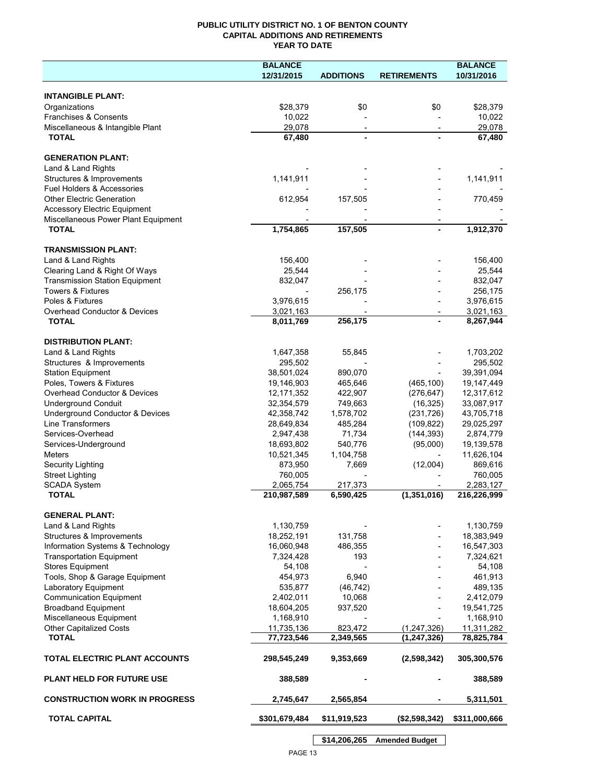# **PUBLIC UTILITY DISTRICT NO. 1 OF BENTON COUNTY CAPITAL ADDITIONS AND RETIREMENTS YEAR TO DATE**

|                                       | <b>BALANCE</b> |                          |                    | <b>BALANCE</b> |
|---------------------------------------|----------------|--------------------------|--------------------|----------------|
|                                       | 12/31/2015     | <b>ADDITIONS</b>         | <b>RETIREMENTS</b> | 10/31/2016     |
|                                       |                |                          |                    |                |
| <b>INTANGIBLE PLANT:</b>              |                |                          |                    |                |
| Organizations                         | \$28,379       | \$0                      | \$0                | \$28,379       |
| Franchises & Consents                 | 10,022         |                          |                    | 10,022         |
| Miscellaneous & Intangible Plant      | 29,078         | $\overline{\phantom{a}}$ |                    | 29,078         |
| <b>TOTAL</b>                          | 67,480         |                          |                    | 67,480         |
|                                       |                |                          |                    |                |
| <b>GENERATION PLANT:</b>              |                |                          |                    |                |
| Land & Land Rights                    |                |                          |                    |                |
| Structures & Improvements             | 1,141,911      |                          |                    | 1,141,911      |
| Fuel Holders & Accessories            |                |                          |                    |                |
| <b>Other Electric Generation</b>      | 612,954        | 157,505                  |                    | 770,459        |
| <b>Accessory Electric Equipment</b>   |                |                          |                    |                |
| Miscellaneous Power Plant Equipment   |                |                          |                    |                |
| <b>TOTAL</b>                          | 1,754,865      | 157,505                  |                    | 1,912,370      |
|                                       |                |                          |                    |                |
| <b>TRANSMISSION PLANT:</b>            |                |                          |                    |                |
| Land & Land Rights                    | 156,400        |                          |                    | 156,400        |
| Clearing Land & Right Of Ways         | 25,544         |                          |                    | 25,544         |
| <b>Transmission Station Equipment</b> | 832,047        |                          |                    | 832,047        |
| <b>Towers &amp; Fixtures</b>          |                | 256,175                  |                    | 256,175        |
| Poles & Fixtures                      | 3,976,615      |                          |                    | 3,976,615      |
| Overhead Conductor & Devices          | 3,021,163      |                          |                    | 3,021,163      |
| <b>TOTAL</b>                          | 8,011,769      | 256,175                  |                    | 8,267,944      |
|                                       |                |                          |                    |                |
| <b>DISTRIBUTION PLANT:</b>            |                |                          |                    |                |
| Land & Land Rights                    | 1,647,358      | 55,845                   |                    | 1,703,202      |
| Structures & Improvements             | 295,502        |                          |                    | 295,502        |
| <b>Station Equipment</b>              | 38,501,024     | 890,070                  |                    | 39,391,094     |
| Poles, Towers & Fixtures              | 19,146,903     | 465,646                  | (465, 100)         | 19,147,449     |
| Overhead Conductor & Devices          | 12, 171, 352   | 422,907                  | (276, 647)         | 12,317,612     |
| <b>Underground Conduit</b>            | 32,354,579     | 749,663                  | (16, 325)          | 33,087,917     |
| Underground Conductor & Devices       | 42,358,742     | 1,578,702                | (231, 726)         | 43,705,718     |
| Line Transformers                     | 28,649,834     | 485,284                  | (109, 822)         | 29,025,297     |
| Services-Overhead                     | 2,947,438      | 71,734                   | (144, 393)         | 2,874,779      |
| Services-Underground                  | 18,693,802     | 540,776                  | (95,000)           | 19,139,578     |
| <b>Meters</b>                         | 10,521,345     | 1,104,758                |                    | 11,626,104     |
| Security Lighting                     | 873,950        | 7,669                    | (12,004)           | 869,616        |
| <b>Street Lighting</b>                | 760,005        |                          |                    | 760,005        |
| <b>SCADA System</b>                   | 2,065,754      | 217,373                  |                    | 2,283,127      |
| <b>TOTAL</b>                          | 210,987,589    | 6,590,425                | (1, 351, 016)      | 216,226,999    |
|                                       |                |                          |                    |                |
| <b>GENERAL PLANT:</b>                 |                |                          |                    |                |
| Land & Land Rights                    | 1,130,759      |                          |                    | 1,130,759      |
| Structures & Improvements             | 18,252,191     | 131,758                  |                    | 18,383,949     |
| Information Systems & Technology      | 16,060,948     | 486,355                  |                    | 16,547,303     |
| <b>Transportation Equipment</b>       | 7,324,428      | 193                      |                    | 7,324,621      |
| <b>Stores Equipment</b>               | 54,108         |                          |                    | 54,108         |
| Tools, Shop & Garage Equipment        | 454,973        | 6,940                    |                    | 461,913        |
| Laboratory Equipment                  | 535,877        | (46, 742)                |                    | 489,135        |
| <b>Communication Equipment</b>        | 2,402,011      | 10,068                   |                    | 2,412,079      |
| <b>Broadband Equipment</b>            | 18,604,205     | 937,520                  |                    | 19,541,725     |
| Miscellaneous Equipment               | 1,168,910      |                          |                    | 1,168,910      |
| Other Capitalized Costs               | 11,735,136     | 823,472                  | (1, 247, 326)      | 11,311,282     |
| <b>TOTAL</b>                          | 77,723,546     | 2,349,565                | (1, 247, 326)      | 78,825,784     |
|                                       |                |                          |                    |                |
| TOTAL ELECTRIC PLANT ACCOUNTS         | 298,545,249    | 9,353,669                | (2,598,342)        | 305,300,576    |
|                                       |                |                          |                    |                |
| <b>PLANT HELD FOR FUTURE USE</b>      | 388,589        |                          |                    | 388,589        |
|                                       |                |                          |                    |                |
| <b>CONSTRUCTION WORK IN PROGRESS</b>  | 2,745,647      | 2,565,854                |                    | 5,311,501      |
|                                       |                |                          |                    |                |
| <b>TOTAL CAPITAL</b>                  | \$301,679,484  | \$11,919,523             | (\$2,598,342)      | \$311,000,666  |
|                                       |                |                          |                    |                |

PAGE 13

**\$14,206,265 Amended Budget**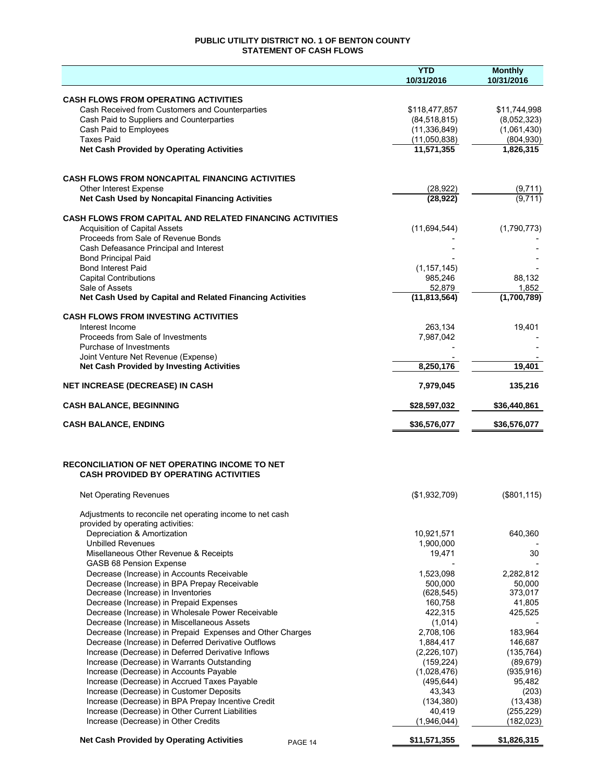# **PUBLIC UTILITY DISTRICT NO. 1 OF BENTON COUNTY STATEMENT OF CASH FLOWS**

|                                                                                            | <b>YTD</b>                 | <b>Monthly</b>      |
|--------------------------------------------------------------------------------------------|----------------------------|---------------------|
|                                                                                            | 10/31/2016                 | 10/31/2016          |
| <b>CASH FLOWS FROM OPERATING ACTIVITIES</b>                                                |                            |                     |
| Cash Received from Customers and Counterparties                                            | \$118,477,857              | \$11,744,998        |
| Cash Paid to Suppliers and Counterparties                                                  | (84, 518, 815)             | (8,052,323)         |
| Cash Paid to Employees                                                                     | (11, 336, 849)             | (1,061,430)         |
| <b>Taxes Paid</b>                                                                          | (11,050,838)<br>11,571,355 | (804, 930)          |
| <b>Net Cash Provided by Operating Activities</b>                                           |                            | 1,826,315           |
|                                                                                            |                            |                     |
| <b>CASH FLOWS FROM NONCAPITAL FINANCING ACTIVITIES</b>                                     |                            |                     |
| Other Interest Expense<br>Net Cash Used by Noncapital Financing Activities                 | (28, 922)<br>(28, 922)     | (9,711)<br>(9,711)  |
|                                                                                            |                            |                     |
| <b>CASH FLOWS FROM CAPITAL AND RELATED FINANCING ACTIVITIES</b>                            |                            |                     |
| <b>Acquisition of Capital Assets</b>                                                       | (11,694,544)               | (1,790,773)         |
| Proceeds from Sale of Revenue Bonds                                                        |                            |                     |
| Cash Defeasance Principal and Interest<br><b>Bond Principal Paid</b>                       |                            |                     |
| <b>Bond Interest Paid</b>                                                                  | (1, 157, 145)              |                     |
| <b>Capital Contributions</b>                                                               | 985,246                    | 88,132              |
| Sale of Assets                                                                             | 52,879                     | 1,852               |
| Net Cash Used by Capital and Related Financing Activities                                  | (11,813,564)               | (1,700,789)         |
| <b>CASH FLOWS FROM INVESTING ACTIVITIES</b>                                                |                            |                     |
| Interest Income                                                                            | 263,134                    | 19,401              |
| Proceeds from Sale of Investments                                                          | 7,987,042                  |                     |
| Purchase of Investments                                                                    |                            |                     |
| Joint Venture Net Revenue (Expense)                                                        |                            |                     |
| <b>Net Cash Provided by Investing Activities</b>                                           | 8,250,176                  | 19,401              |
| <b>NET INCREASE (DECREASE) IN CASH</b>                                                     | 7,979,045                  | 135,216             |
| <b>CASH BALANCE, BEGINNING</b>                                                             | \$28,597,032               | \$36,440,861        |
| <b>CASH BALANCE, ENDING</b>                                                                | \$36,576,077               | \$36,576,077        |
| <b>RECONCILIATION OF NET OPERATING INCOME TO NET</b>                                       |                            |                     |
| <b>CASH PROVIDED BY OPERATING ACTIVITIES</b>                                               |                            |                     |
| <b>Net Operating Revenues</b>                                                              | (\$1,932,709)              | (\$801, 115)        |
| Adjustments to reconcile net operating income to net cash                                  |                            |                     |
| provided by operating activities:                                                          |                            |                     |
| Depreciation & Amortization                                                                | 10,921,571                 | 640,360             |
| <b>Unbilled Revenues</b>                                                                   | 1,900,000                  |                     |
| Misellaneous Other Revenue & Receipts                                                      | 19,471                     | 30                  |
| GASB 68 Pension Expense                                                                    |                            |                     |
| Decrease (Increase) in Accounts Receivable<br>Decrease (Increase) in BPA Prepay Receivable | 1,523,098<br>500.000       | 2,282,812<br>50,000 |
| Decrease (Increase) in Inventories                                                         | (628, 545)                 | 373,017             |
| Decrease (Increase) in Prepaid Expenses                                                    | 160,758                    | 41,805              |
| Decrease (Increase) in Wholesale Power Receivable                                          | 422,315                    | 425,525             |
| Decrease (Increase) in Miscellaneous Assets                                                | (1,014)                    |                     |
| Decrease (Increase) in Prepaid Expenses and Other Charges                                  | 2,708,106                  | 183,964             |
| Decrease (Increase) in Deferred Derivative Outflows                                        | 1,884,417                  | 146,687             |
| Increase (Decrease) in Deferred Derivative Inflows                                         | (2,226,107)                | (135, 764)          |
| Increase (Decrease) in Warrants Outstanding                                                | (159, 224)                 | (89, 679)           |
| Increase (Decrease) in Accounts Payable                                                    | (1,028,476)                | (935, 916)          |
| Increase (Decrease) in Accrued Taxes Payable<br>Increase (Decrease) in Customer Deposits   | (495, 644)<br>43,343       | 95,482<br>(203)     |
| Increase (Decrease) in BPA Prepay Incentive Credit                                         | (134, 380)                 | (13, 438)           |
| Increase (Decrease) in Other Current Liabilities                                           | 40,419                     | (255, 229)          |
| Increase (Decrease) in Other Credits                                                       | (1,946,044)                | (182, 023)          |
| <b>Net Cash Provided by Operating Activities</b><br>PAGE 14                                | \$11,571,355               | \$1,826,315         |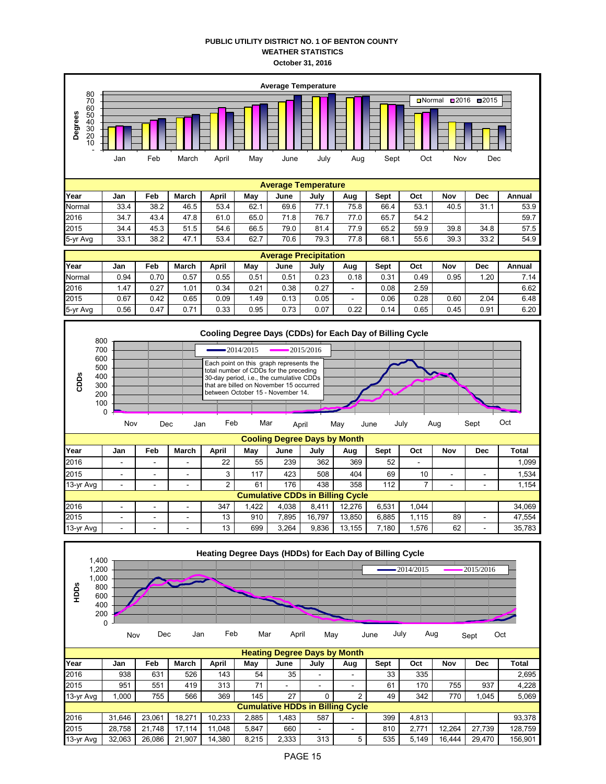## **PUBLIC UTILITY DISTRICT NO. 1 OF BENTON COUNTY WEATHER STATISTICS October 31, 2016**



| 2015      | 951    | 551        | 419    | 313    |       |       |                                         | - | 61  | 170   | 755    | 937    | 4.228   |
|-----------|--------|------------|--------|--------|-------|-------|-----------------------------------------|---|-----|-------|--------|--------|---------|
| 13-yr Avg | .000   | 755        | 566    | 369    | 145   | 27    |                                         | ົ | 49  | 342   | 770    | 1.045  | 5.069   |
|           |        |            |        |        |       |       | <b>Cumulative HDDs in Billing Cycle</b> |   |     |       |        |        |         |
| 2016      | 31.646 | 23.061     | 18.271 | 10.233 | 2.885 | 1.483 | 587                                     | - | 399 | 4.813 |        |        | 93.378  |
| 2015      | 28.758 | .748<br>21 | 17.114 | 11.048 | 5.847 | 660   | -                                       | - | 810 | 2.771 | 12.264 | 27.739 | 128.759 |
| 13-yr Avg | 32.063 | 26.086     | 21.907 | 14.380 | 8.215 | 2,333 | 313                                     |   | 535 | 5.149 | 16.444 | 29.470 | 156.901 |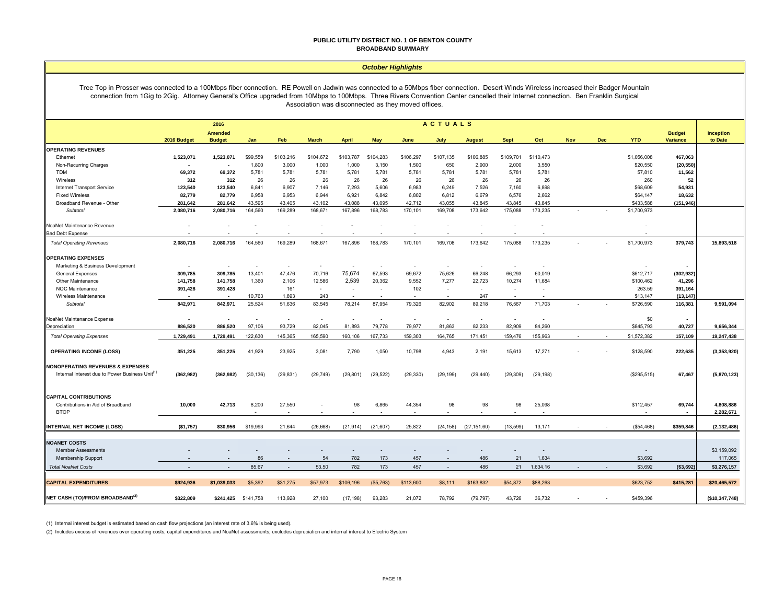#### **PUBLIC UTILITY DISTRICT NO. 1 OF BENTON COUNTY BROADBAND SUMMARY**

#### *October Highlights*

Tree Top in Prosser was connected to a 100Mbps fiber connection. RE Powell on Jadwin was connected to a 50Mbps fiber connection. Desert Winds Wireless increased their Badger Mountain connection from 1Gig to 2Gig. Attorney General's Office upgraded from 10Mbps to 100Mbps. Three Rivers Convention Center cancelled their Internet connection. Ben Franklin Surgical Association was disconnected as they moved offices.

|                                                             | <b>ACTUALS</b><br>2016 |                                 |           |           |                          |              |            |           |           |               |                          |                          |            |            |             |                           |                      |
|-------------------------------------------------------------|------------------------|---------------------------------|-----------|-----------|--------------------------|--------------|------------|-----------|-----------|---------------|--------------------------|--------------------------|------------|------------|-------------|---------------------------|----------------------|
|                                                             | 2016 Budget            | <b>Amended</b><br><b>Budget</b> | Jan       | Feb       | <b>March</b>             | <b>April</b> | <b>May</b> | June      | July      | <b>August</b> | <b>Sept</b>              | Oct                      | <b>Nov</b> | <b>Dec</b> | <b>YTD</b>  | <b>Budget</b><br>Variance | Inception<br>to Date |
| <b>OPERATING REVENUES</b>                                   |                        |                                 |           |           |                          |              |            |           |           |               |                          |                          |            |            |             |                           |                      |
| Ethernet                                                    | 1,523,071              | 1,523,071                       | \$99,559  | \$103,216 | \$104,672                | \$103,787    | \$104,283  | \$106,297 | \$107,135 | \$106,885     | \$109,701                | \$110,473                |            |            | \$1,056,008 | 467,063                   |                      |
| Non-Recurring Charges                                       | $\blacksquare$         |                                 | 1,800     | 3,000     | 1,000                    | 1,000        | 3,150      | 1,500     | 650       | 2,900         | 2,000                    | 3,550                    |            |            | \$20,550    | (20, 550)                 |                      |
| <b>TDM</b>                                                  | 69,372                 | 69,372                          | 5,781     | 5,781     | 5,781                    | 5,781        | 5,781      | 5,781     | 5,781     | 5,781         | 5,781                    | 5,781                    |            |            | 57,810      | 11,562                    |                      |
| Wireless                                                    | 312                    | 312                             | 26        | 26        | 26                       | 26           | 26         | 26        | 26        | 26            | 26                       | 26                       |            |            | 260         | 52                        |                      |
| Internet Transport Service                                  | 123,540                | 123,540                         | 6,841     | 6,907     | 7,146                    | 7,293        | 5,606      | 6,983     | 6,249     | 7,526         | 7,160                    | 6,898                    |            |            | \$68,609    | 54,931                    |                      |
| <b>Fixed Wireless</b>                                       | 82,779                 | 82,779                          | 6,958     | 6,953     | 6,944                    | 6,921        | 6,842      | 6,802     | 6,812     | 6,679         | 6,576                    | 2,662                    |            |            | \$64,147    | 18,632                    |                      |
| Broadband Revenue - Other                                   | 281,642                | 281,642                         | 43,595    | 43,405    | 43,102                   | 43,088       | 43,095     | 42,712    | 43,055    | 43,845        | 43,845                   | 43,845                   |            |            | \$433,588   | (151, 946)                |                      |
| Subtotal                                                    | 2,080,716              | 2,080,716                       | 164,560   | 169,289   | 168,671                  | 167,896      | 168,783    | 170,101   | 169,708   | 173,642       | 175,088                  | 173,235                  |            |            | \$1,700,973 |                           |                      |
| NoaNet Maintenance Revenue                                  |                        |                                 |           | $\sim$    |                          |              |            |           |           |               |                          |                          |            |            |             |                           |                      |
| <b>Bad Debt Expense</b>                                     |                        |                                 |           |           |                          |              |            |           |           |               |                          |                          |            |            |             |                           |                      |
| <b>Total Operating Revenues</b>                             | 2,080,716              | 2,080,716                       | 164,560   | 169,289   | 168,671                  | 167,896      | 168,783    | 170,101   | 169,708   | 173,642       | 175,088                  | 173,235                  |            |            | \$1,700,973 | 379,743                   | 15,893,518           |
| <b>OPERATING EXPENSES</b>                                   |                        |                                 |           |           |                          |              |            |           |           |               |                          |                          |            |            |             |                           |                      |
| Marketing & Business Development                            |                        |                                 |           | $\sim$    |                          |              |            |           |           | $\sim$        | $\sim$                   |                          |            |            |             |                           |                      |
| <b>General Expenses</b>                                     | 309,785                | 309,785                         | 13,401    | 47,476    | 70,716                   | 75,674       | 67,593     | 69,672    | 75,626    | 66,248        | 66,293                   | 60,019                   |            |            | \$612,717   | (302, 932)                |                      |
| Other Maintenance                                           | 141,758                | 141,758                         | 1,360     | 2,106     | 12,586                   | 2,539        | 20,362     | 9,552     | 7,277     | 22,723        | 10,274                   | 11,684                   |            |            | \$100,462   | 41,296                    |                      |
| <b>NOC Maintenance</b>                                      | 391,428                | 391,428                         |           | 161       | $\overline{\phantom{a}}$ | $\sim$       | $\sim$     | 102       | $\sim$    | $\sim$        | $\sim$                   | $\overline{\phantom{a}}$ |            |            | 263.59      | 391,164                   |                      |
| Wireless Maintenance                                        |                        |                                 | 10,763    | 1,893     | 243                      |              |            |           |           | 247           | $\sim$                   |                          |            |            | \$13,147    | (13, 147)                 |                      |
| Subtotal                                                    | 842,971                | 842,971                         | 25,524    | 51,636    | 83,545                   | 78,214       | 87,954     | 79,326    | 82,902    | 89,218        | 76,567                   | 71,703                   |            |            | \$726,590   | 116,381                   | 9,591,094            |
| NoaNet Maintenance Expense                                  | $\blacksquare$         |                                 |           | $\sim$    | $\sim$                   |              | $\sim$     | $\sim$    | $\sim$    | $\sim$        | $\overline{\phantom{a}}$ |                          |            |            | \$0         |                           |                      |
| Depreciation                                                | 886,520                | 886,520                         | 97,106    | 93,729    | 82,045                   | 81,893       | 79,778     | 79,977    | 81,863    | 82,233        | 82,909                   | 84,260                   |            |            | \$845,793   | 40,727                    | 9,656,344            |
| <b>Total Operating Expenses</b>                             | 1,729,491              | 1,729,491                       | 122,630   | 145,365   | 165,590                  | 160,106      | 167,733    | 159,303   | 164,765   | 171,451       | 159,476                  | 155,963                  |            |            | \$1,572,382 | 157,109                   | 19,247,438           |
| <b>OPERATING INCOME (LOSS)</b>                              | 351,225                | 351,225                         | 41,929    | 23,925    | 3,081                    | 7,790        | 1,050      | 10,798    | 4,943     | 2,191         | 15,613                   | 17,271                   |            |            | \$128,590   | 222,635                   | (3,353,920)          |
| <b>NONOPERATING REVENUES &amp; EXPENSES</b>                 |                        |                                 |           |           |                          |              |            |           |           |               |                          |                          |            |            |             |                           |                      |
| Internal Interest due to Power Business Unit <sup>(1)</sup> | (362, 982)             | (362, 982)                      | (30, 136) | (29, 831) | (29, 749)                | (29, 801)    | (29, 522)  | (29, 330) | (29, 199) | (29, 440)     | (29, 309)                | (29, 198)                |            |            | (\$295,515) | 67,467                    | (5,870,123)          |
| <b>CAPITAL CONTRIBUTIONS</b>                                |                        |                                 |           |           |                          |              |            |           |           |               |                          |                          |            |            |             |                           |                      |
| Contributions in Aid of Broadband                           | 10,000                 | 42,713                          | 8,200     | 27,550    |                          | 98           | 6,865      | 44,354    | 98        | 98            | 98                       | 25,098                   |            |            | \$112,457   | 69,744                    | 4,808,886            |
| <b>BTOP</b>                                                 |                        |                                 |           |           |                          |              |            |           |           |               |                          |                          |            |            |             |                           | 2,282,671            |
| <b>INTERNAL NET INCOME (LOSS)</b>                           | (\$1,757)              | \$30,956                        | \$19,993  | 21,644    | (26, 668)                | (21, 914)    | (21, 607)  | 25,822    | (24, 158) | (27, 151.60)  | (13,599)                 | 13,171                   |            |            | (\$54,468)  | \$359,846                 | (2, 132, 486)        |
|                                                             |                        |                                 |           |           |                          |              |            |           |           |               |                          |                          |            |            |             |                           |                      |
| <b>NOANET COSTS</b>                                         |                        |                                 |           |           |                          |              |            |           |           |               |                          |                          |            |            |             |                           |                      |
| <b>Member Assessments</b>                                   |                        |                                 |           |           |                          |              |            |           |           |               |                          |                          |            |            |             |                           | \$3,159,092          |
| Membership Support                                          |                        |                                 | 86        | $\sim$    | 54                       | 782          | 173        | 457       |           | 486           | 21                       | 1,634                    |            |            | \$3,692     |                           | 117,065              |
| <b>Total NoaNet Costs</b>                                   | $\blacksquare$         | $\blacksquare$                  | 85.67     | $\sim$    | 53.50                    | 782          | 173        | 457       | $\sim$    | 486           | 21                       | 1,634.16                 |            |            | \$3,692     | ( \$3,692]                | \$3,276,157          |
| <b>CAPITAL EXPENDITURES</b>                                 | \$924,936              | \$1,039,033                     | \$5,392   | \$31,275  | \$57,973                 | \$106,196    | (\$5,763)  | \$113,600 | \$8,111   | \$163,832     | \$54,872                 | \$88,263                 |            |            | \$623,752   | \$415,281                 | \$20,465,572         |
| NET CASH (TO)/FROM BROADBAND <sup>(2)</sup>                 | \$322,809              | \$241,425                       | \$141,758 | 113,928   | 27,100                   | (17, 198)    | 93,283     | 21,072    | 78,792    | (79, 797)     | 43,726                   | 36,732                   |            |            | \$459,396   |                           | (\$10,347,748)       |

(1) Internal interest budget is estimated based on cash flow projections (an interest rate of 3.6% is being used).

(2) Includes excess of revenues over operating costs, capital expenditures and NoaNet assessments; excludes depreciation and internal interest to Electric System